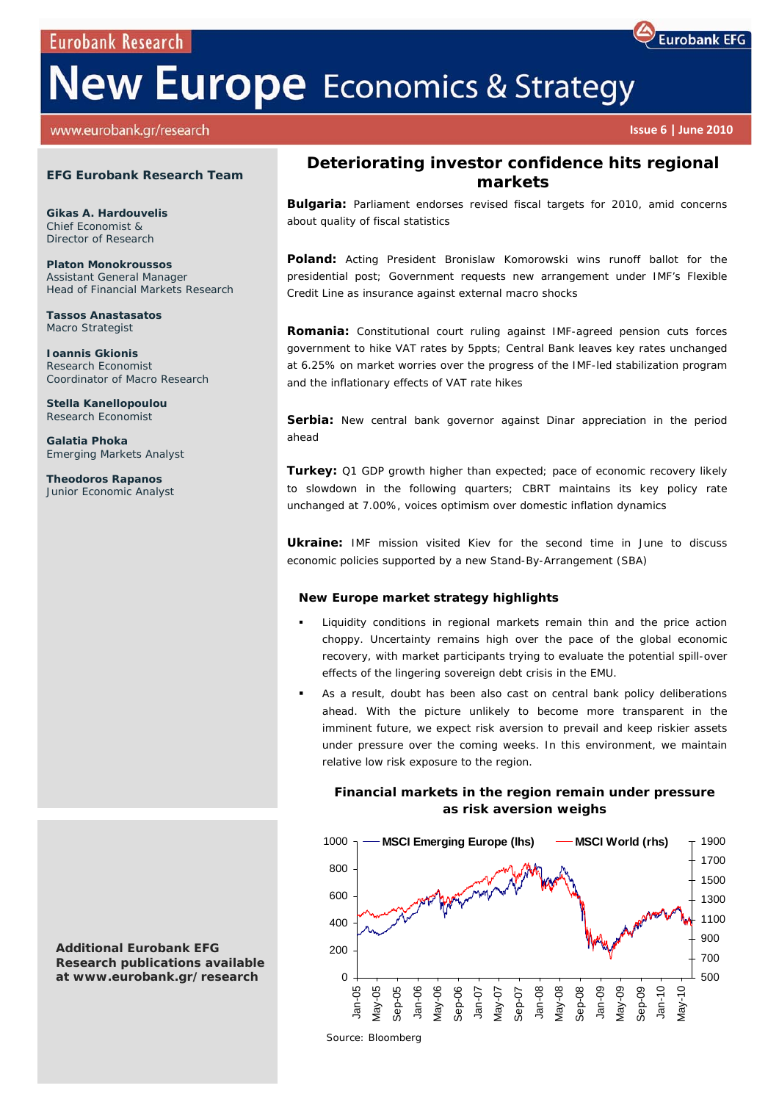**Eurobank Research** 

# **New Europe** Economics & Strategy

www.eurobank.gr/research

#### **EFG Eurobank Research Team**

**Gikas A. Hardouvelis**  Chief Economist & Director of Research

**Platon Monokroussos**  Assistant General Manager Head of Financial Markets Research

**Tassos Anastasatos**  Macro Strategist

**Ioannis Gkionis**  Research Economist Coordinator of Macro Research

**Stella Kanellopoulou**  Research Economist

**Galatia Phoka**  Emerging Markets Analyst

**Theodoros Rapanos**  Junior Economic Analyst

**Additional Eurobank EFG Research publications available at www.eurobank.gr/research** 

# **Deteriorating investor confidence hits regional**

**Bulgaria:** Parliament endorses revised fiscal targets for 2010, amid concerns about quality of fiscal statistics

**markets** 

**Poland:** Acting President Bronislaw Komorowski wins runoff ballot for the presidential post; Government requests new arrangement under IMF's Flexible Credit Line as insurance against external macro shocks

**Romania:** Constitutional court ruling against IMF-agreed pension cuts forces government to hike VAT rates by 5ppts; Central Bank leaves key rates unchanged at 6.25% on market worries over the progress of the IMF-led stabilization program and the inflationary effects of VAT rate hikes

Serbia: New central bank governor against Dinar appreciation in the period ahead

**Turkey:** Q1 GDP growth higher than expected; pace of economic recovery likely to slowdown in the following quarters; CBRT maintains its key policy rate unchanged at 7.00%, voices optimism over domestic inflation dynamics

**Ukraine:** IMF mission visited Kiev for the second time in June to discuss economic policies supported by a new Stand-By-Arrangement (SBA)

#### *New Europe market strategy highlights*

- Liquidity conditions in regional markets remain thin and the price action choppy. Uncertainty remains high over the pace of the global economic recovery, with market participants trying to evaluate the potential spill-over effects of the lingering sovereign debt crisis in the EMU.
- As a result, doubt has been also cast on central bank policy deliberations ahead. With the picture unlikely to become more transparent in the imminent future, we expect risk aversion to prevail and keep riskier assets under pressure over the coming weeks. In this environment, we maintain relative low risk exposure to the region.

## **Financial markets in the region remain under pressure as risk aversion weighs**



**Eurobank EFG** 

 **Issue 6 | June 2010**

 *Source: Bloomberg*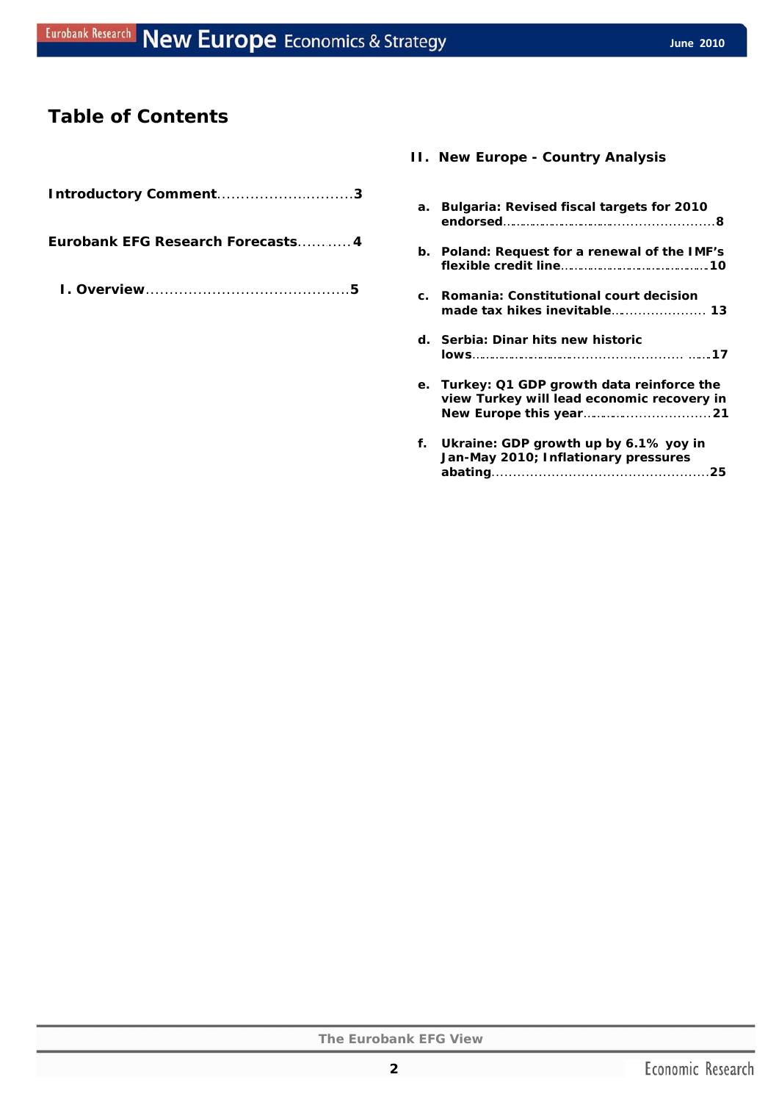## **Table of Contents**

| Introductory Comment3             |
|-----------------------------------|
| Eurobank EFG Research Forecasts 4 |
|                                   |

## **II. New Europe - Country Analysis**

| а.             | Bulgaria: Revised fiscal targets for 2010                                              |
|----------------|----------------------------------------------------------------------------------------|
| b.             | Poland: Request for a renewal of the IMF's                                             |
| $\mathbf{c}$ . | Romania: Constitutional court decision                                                 |
|                | d. Serbia: Dinar hits new historic                                                     |
| e.             | Turkey: Q1 GDP growth data reinforce the<br>view Turkey will lead economic recovery in |
|                | f. Ukraine: GDP growth up by 6.1% yoy in<br>Jan-May 2010; Inflationary pressures       |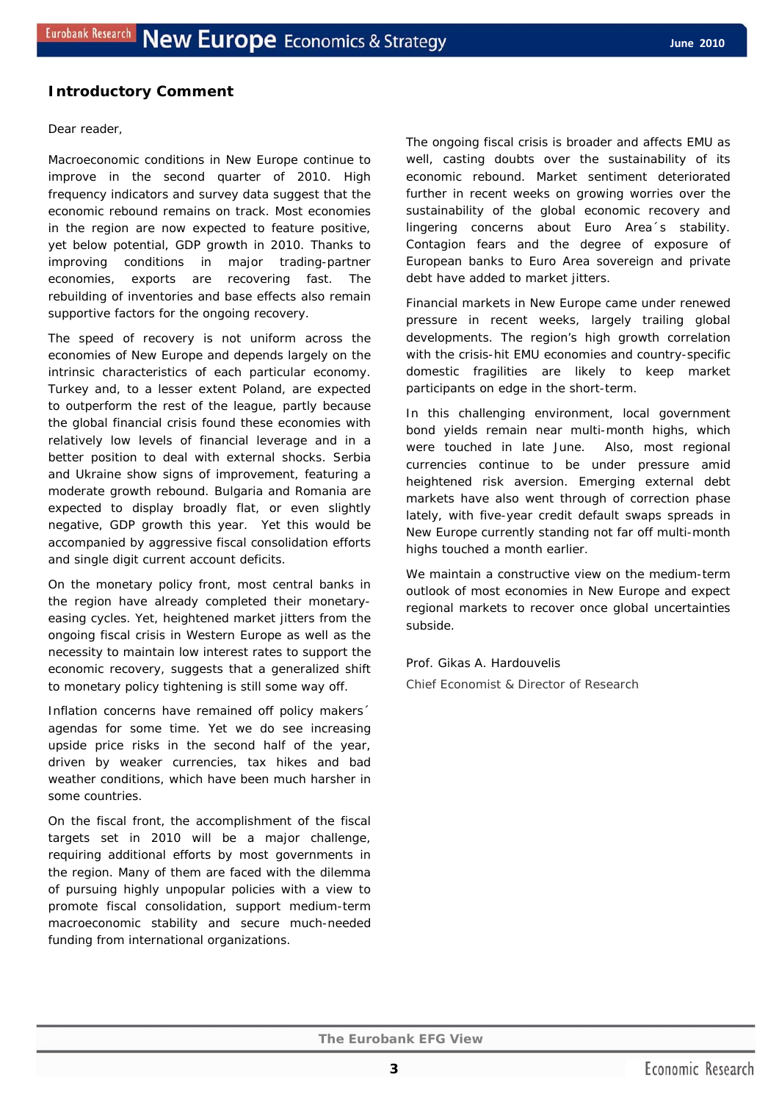## **Introductory Comment**

#### Dear reader,

Macroeconomic conditions in New Europe continue to improve in the second quarter of 2010. High frequency indicators and survey data suggest that the economic rebound remains on track. Most economies in the region are now expected to feature positive, yet below potential, GDP growth in 2010. Thanks to improving conditions in major trading-partner economies, exports are recovering fast. The rebuilding of inventories and base effects also remain supportive factors for the ongoing recovery.

The speed of recovery is not uniform across the economies of New Europe and depends largely on the intrinsic characteristics of each particular economy. Turkey and, to a lesser extent Poland, are expected to outperform the rest of the league, partly because the global financial crisis found these economies with relatively low levels of financial leverage and in a better position to deal with external shocks. Serbia and Ukraine show signs of improvement, featuring a moderate growth rebound. Bulgaria and Romania are expected to display broadly flat, or even slightly negative, GDP growth this year. Yet this would be accompanied by aggressive fiscal consolidation efforts and single digit current account deficits.

On the monetary policy front, most central banks in the region have already completed their monetaryeasing cycles. Yet, heightened market jitters from the ongoing fiscal crisis in Western Europe as well as the necessity to maintain low interest rates to support the economic recovery, suggests that a generalized shift to monetary policy tightening is still some way off.

Inflation concerns have remained off policy makers´ agendas for some time. Yet we do see increasing upside price risks in the second half of the year, driven by weaker currencies, tax hikes and bad weather conditions, which have been much harsher in some countries.

On the fiscal front, the accomplishment of the fiscal targets set in 2010 will be a major challenge, requiring additional efforts by most governments in the region. Many of them are faced with the dilemma of pursuing highly unpopular policies with a view to promote fiscal consolidation, support medium-term macroeconomic stability and secure much-needed funding from international organizations.

The ongoing fiscal crisis is broader and affects EMU as well, casting doubts over the sustainability of its economic rebound. Market sentiment deteriorated further in recent weeks on growing worries over the sustainability of the global economic recovery and lingering concerns about Euro Area´s stability. Contagion fears and the degree of exposure of European banks to Euro Area sovereign and private debt have added to market jitters.

Financial markets in New Europe came under renewed pressure in recent weeks, largely trailing global developments. The region's high growth correlation with the crisis-hit EMU economies and country-specific domestic fragilities are likely to keep market participants on edge in the short-term.

In this challenging environment, local government bond yields remain near multi-month highs, which were touched in late June. Also, most regional currencies continue to be under pressure amid heightened risk aversion. Emerging external debt markets have also went through of correction phase lately, with five-year credit default swaps spreads in New Europe currently standing not far off multi-month highs touched a month earlier.

We maintain a constructive view on the medium-term outlook of most economies in New Europe and expect regional markets to recover once global uncertainties subside.

Prof. Gikas A. Hardouvelis

*Chief Economist & Director of Research*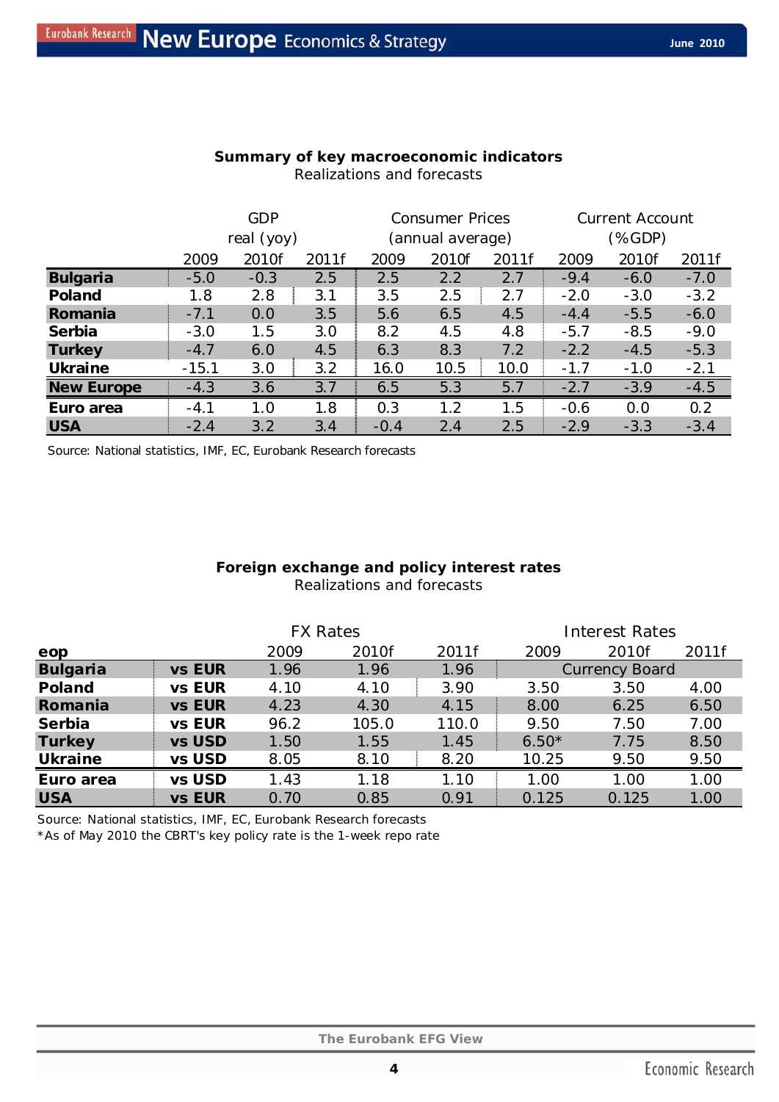|  |  |  | Summary of key macroeconomic indicators |
|--|--|--|-----------------------------------------|
|  |  |  |                                         |

|                   | <b>GDP</b> |        |       | <b>Consumer Prices</b> |       |       | <b>Current Account</b> |        |        |
|-------------------|------------|--------|-------|------------------------|-------|-------|------------------------|--------|--------|
|                   | real (yoy) |        |       | (annual average)       |       |       | (%GDP)                 |        |        |
|                   | 2009       | 2010f  | 2011f | 2009                   | 2010f | 2011f | 2009                   | 2010f  | 2011f  |
| <b>Bulgaria</b>   | $-5.0$     | $-0.3$ | 2.5   | 2.5                    | 2.2   | 2.7   | $-9.4$                 | $-6.0$ | $-7.0$ |
| Poland            | 1.8        | 2.8    | 3.1   | 3.5                    | 2.5   | 2.7   | $-2.0$                 | $-3.0$ | $-3.2$ |
| Romania           | $-7.1$     | 0.0    | 3.5   | 5.6                    | 6.5   | 4.5   | $-4.4$                 | $-5.5$ | $-6.0$ |
| Serbia            | $-3.0$     | 1.5    | 3.0   | 8.2                    | 4.5   | 4.8   | $-5.7$                 | $-8.5$ | $-9.0$ |
| <b>Turkey</b>     | $-4.7$     | 6.0    | 4.5   | 6.3                    | 8.3   | 7.2   | $-2.2$                 | $-4.5$ | $-5.3$ |
| <b>Ukraine</b>    | $-15.1$    | 3.0    | 3.2   | 16.0                   | 10.5  | 10.0  | $-1.7$                 | $-1.0$ | $-2.1$ |
| <b>New Europe</b> | $-4.3$     | 3.6    | 3.7   | 6.5                    | 5.3   | 5.7   | $-2.7$                 | $-3.9$ | $-4.5$ |
| Euro area         | $-4.1$     | 1.0    | 1.8   | 0.3                    | 1.2   | 1.5   | $-0.6$                 | 0.0    | 0.2    |
| <b>USA</b>        | $-2.4$     | 3.2    | 3.4   | $-0.4$                 | 2.4   | 2.5   | $-2.9$                 | $-3.3$ | $-3.4$ |

Realizations and forecasts

Source: National statistics, IMF, EC, Eurobank Research forecasts

## **Foreign exchange and policy interest rates**  Realizations and forecasts

|                 |               | <b>FX Rates</b> |       |       | <b>Interest Rates</b> |       |       |  |
|-----------------|---------------|-----------------|-------|-------|-----------------------|-------|-------|--|
| eop             |               | 2009            | 2010f | 2011f | 2009                  | 2010f | 2011f |  |
| <b>Bulgaria</b> | vs EUR        | 1.96            | 1.96  | 1.96  | <b>Currency Board</b> |       |       |  |
| Poland          | <b>vs EUR</b> | 4.10            | 4.10  | 3.90  | 3.50                  | 3.50  | 4.00  |  |
| Romania         | <b>vs EUR</b> | 4.23            | 4.30  | 4.15  | 8.00                  | 6.25  | 6.50  |  |
| Serbia          | vs EUR        | 96.2            | 105.0 | 110.0 | 9.50                  | 7.50  | 7.00  |  |
| <b>Turkey</b>   | vs USD        | 1.50            | 1.55  | 1.45  | $6.50*$               | 7.75  | 8.50  |  |
| <b>Ukraine</b>  | vs USD        | 8.05            | 8.10  | 8.20  | 10.25                 | 9.50  | 9.50  |  |
| Euro area       | vs USD        | 1.43            | 1.18  | 1.10  | 1.00                  | 1.00  | 1.00  |  |
| <b>USA</b>      | vs EUR        | 0.70            | 0.85  | 0.91  | 0.125                 | 0.125 | 1.00  |  |

Source: National statistics, IMF, EC, Eurobank Research forecasts

\*As of May 2010 the CBRT's key policy rate is the 1-week repo rate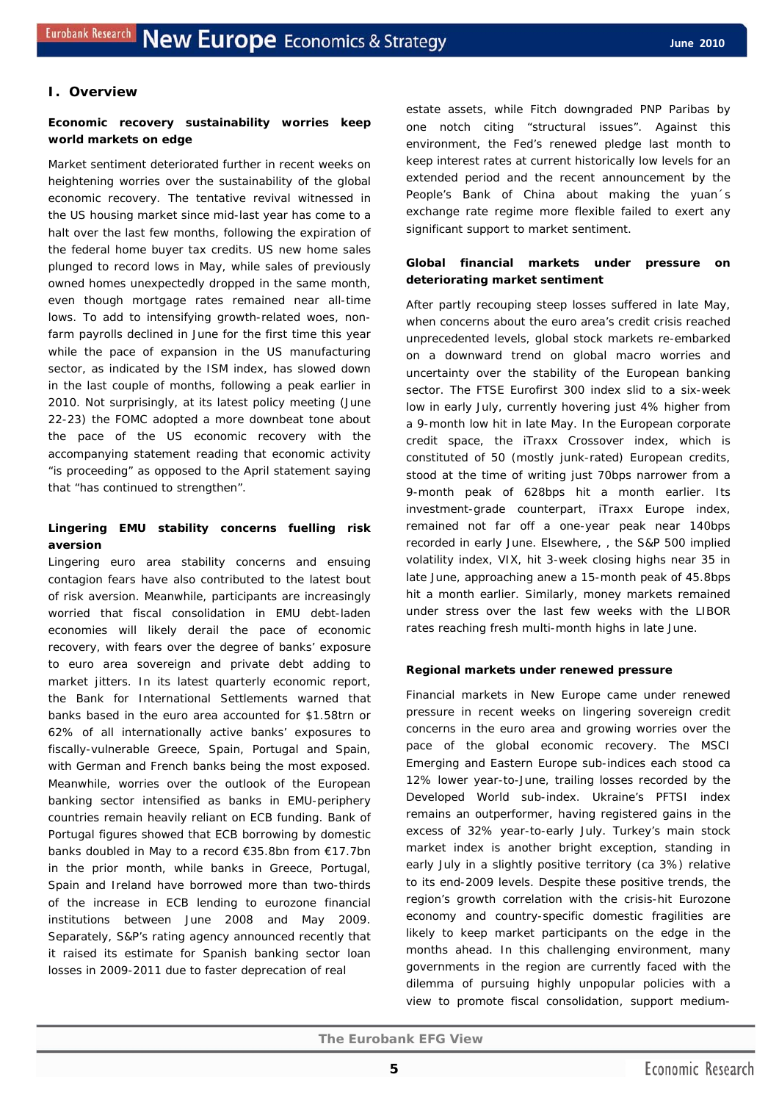## **I. Overview**

## **Economic recovery sustainability worries keep world markets on edge**

Market sentiment deteriorated further in recent weeks on heightening worries over the sustainability of the global economic recovery. The tentative revival witnessed in the US housing market since mid-last year has come to a halt over the last few months, following the expiration of the federal home buyer tax credits. US new home sales plunged to record lows in May, while sales of previously owned homes unexpectedly dropped in the same month, even though mortgage rates remained near all-time lows. To add to intensifying growth-related woes, nonfarm payrolls declined in June for the first time this year while the pace of expansion in the US manufacturing sector, as indicated by the ISM index, has slowed down in the last couple of months, following a peak earlier in 2010. Not surprisingly, at its latest policy meeting (June 22-23) the FOMC adopted a more downbeat tone about the pace of the US economic recovery with the accompanying statement reading that economic activity "is proceeding" as opposed to the April statement saying that "has continued to strengthen".

## **Lingering EMU stability concerns fuelling risk aversion**

Lingering euro area stability concerns and ensuing contagion fears have also contributed to the latest bout of risk aversion. Meanwhile, participants are increasingly worried that fiscal consolidation in EMU debt-laden economies will likely derail the pace of economic recovery, with fears over the degree of banks' exposure to euro area sovereign and private debt adding to market jitters. In its latest quarterly economic report, the Bank for International Settlements warned that banks based in the euro area accounted for \$1.58trn or 62% of all internationally active banks' exposures to fiscally-vulnerable Greece, Spain, Portugal and Spain, with German and French banks being the most exposed. Meanwhile, worries over the outlook of the European banking sector intensified as banks in EMU-periphery countries remain heavily reliant on ECB funding. Bank of Portugal figures showed that ECB borrowing by domestic banks doubled in May to a record €35.8bn from €17.7bn in the prior month, while banks in Greece, Portugal, Spain and Ireland have borrowed more than two-thirds of the increase in ECB lending to eurozone financial institutions between June 2008 and May 2009. Separately, S&P's rating agency announced recently that it raised its estimate for Spanish banking sector loan losses in 2009-2011 due to faster deprecation of real

estate assets, while Fitch downgraded PNP Paribas by one notch citing "structural issues". Against this environment, the Fed's renewed pledge last month to keep interest rates at current historically low levels for an extended period and the recent announcement by the People's Bank of China about making the yuan´s exchange rate regime more flexible failed to exert any significant support to market sentiment.

## **Global financial markets under pressure on deteriorating market sentiment**

After partly recouping steep losses suffered in late May, when concerns about the euro area's credit crisis reached unprecedented levels, global stock markets re-embarked on a downward trend on global macro worries and uncertainty over the stability of the European banking sector. The FTSE Eurofirst 300 index slid to a six-week low in early July, currently hovering just 4% higher from a 9-month low hit in late May. In the European corporate credit space, the iTraxx Crossover index, which is constituted of 50 (mostly junk-rated) European credits, stood at the time of writing just 70bps narrower from a 9-month peak of 628bps hit a month earlier. Its investment-grade counterpart, iTraxx Europe index, remained not far off a one-year peak near 140bps recorded in early June. Elsewhere, , the S&P 500 implied volatility index, VIX, hit 3-week closing highs near 35 in late June, approaching anew a 15-month peak of 45.8bps hit a month earlier. Similarly, money markets remained under stress over the last few weeks with the LIBOR rates reaching fresh multi-month highs in late June.

#### **Regional markets under renewed pressure**

Financial markets in New Europe came under renewed pressure in recent weeks on lingering sovereign credit concerns in the euro area and growing worries over the pace of the global economic recovery. The *MSCI Emerging* and *Eastern Europe* sub-indices each stood ca 12% lower year-to-June, trailing losses recorded by the *Developed World* sub-index. Ukraine's PFTSI index remains an outperformer, having registered gains in the excess of 32% year-to-early July. Turkey's main stock market index is another bright exception, standing in early July in a slightly positive territory (ca 3%) relative to its end-2009 levels. Despite these positive trends, the region's growth correlation with the crisis-hit Eurozone economy and country-specific domestic fragilities are likely to keep market participants on the edge in the months ahead. In this challenging environment, many governments in the region are currently faced with the dilemma of pursuing highly unpopular policies with a view to promote fiscal consolidation, support medium-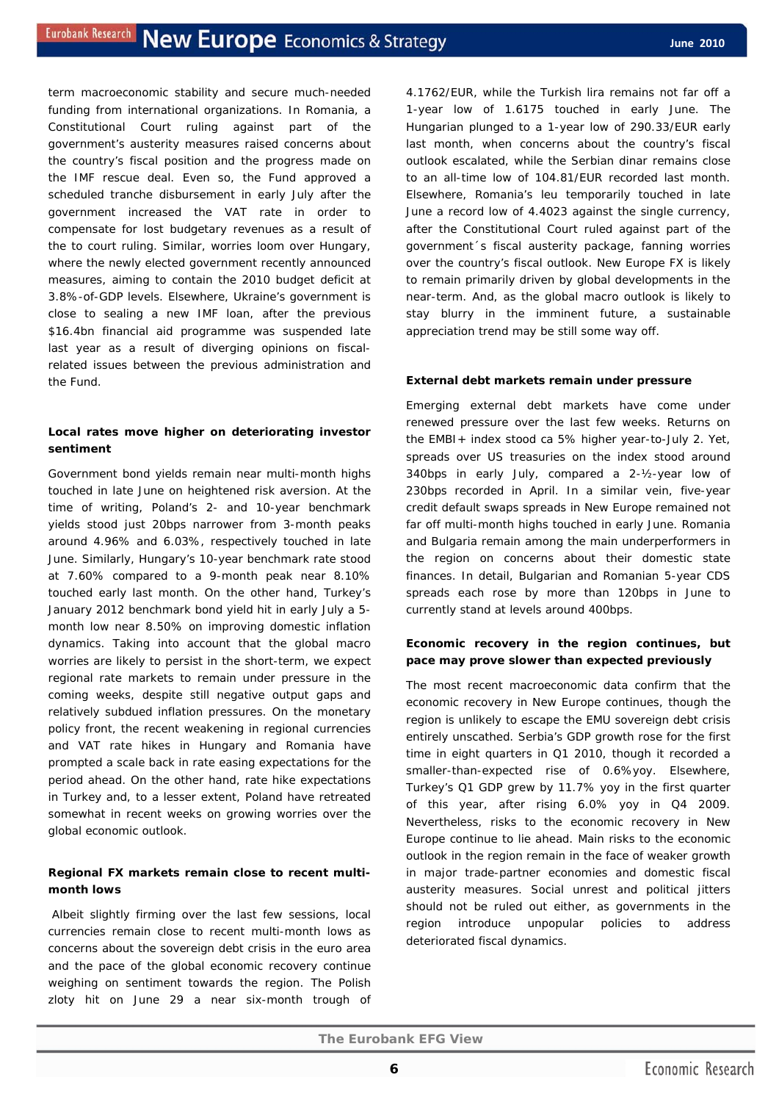term macroeconomic stability and secure much-needed funding from international organizations. In Romania, a Constitutional Court ruling against part of the government's austerity measures raised concerns about the country's fiscal position and the progress made on the IMF rescue deal. Even so, the Fund approved a scheduled tranche disbursement in early July after the government increased the VAT rate in order to compensate for lost budgetary revenues as a result of the to court ruling. Similar, worries loom over Hungary, where the newly elected government recently announced measures, aiming to contain the 2010 budget deficit at 3.8%-of-GDP levels. Elsewhere, Ukraine's government is close to sealing a new IMF loan, after the previous \$16.4bn financial aid programme was suspended late last year as a result of diverging opinions on fiscalrelated issues between the previous administration and the Fund.

## **Local rates move higher on deteriorating investor sentiment**

Government bond yields remain near multi-month highs touched in late June on heightened risk aversion. At the time of writing, Poland's 2- and 10-year benchmark yields stood just 20bps narrower from 3-month peaks around 4.96% and 6.03%, respectively touched in late June. Similarly, Hungary's 10-year benchmark rate stood at 7.60% compared to a 9-month peak near 8.10% touched early last month. On the other hand, Turkey's January 2012 benchmark bond yield hit in early July a 5 month low near 8.50% on improving domestic inflation dynamics. Taking into account that the global macro worries are likely to persist in the short-term, we expect regional rate markets to remain under pressure in the coming weeks, despite still negative output gaps and relatively subdued inflation pressures. On the monetary policy front, the recent weakening in regional currencies and VAT rate hikes in Hungary and Romania have prompted a scale back in rate easing expectations for the period ahead. On the other hand, rate hike expectations in Turkey and, to a lesser extent, Poland have retreated somewhat in recent weeks on growing worries over the global economic outlook.

#### **Regional FX markets remain close to recent multimonth lows**

 Albeit slightly firming over the last few sessions, local currencies remain close to recent multi-month lows as concerns about the sovereign debt crisis in the euro area and the pace of the global economic recovery continue weighing on sentiment towards the region. The Polish zloty hit on June 29 a near six-month trough of 4.1762/EUR, while the Turkish lira remains not far off a 1-year low of 1.6175 touched in early June. The Hungarian plunged to a 1-year low of 290.33/EUR early last month, when concerns about the country's fiscal outlook escalated, while the Serbian dinar remains close to an all-time low of 104.81/EUR recorded last month. Elsewhere, Romania's leu temporarily touched in late June a record low of 4.4023 against the single currency, after the Constitutional Court ruled against part of the government´s fiscal austerity package, fanning worries over the country's fiscal outlook. New Europe FX is likely to remain primarily driven by global developments in the near-term. And, as the global macro outlook is likely to stay blurry in the imminent future, a sustainable appreciation trend may be still some way off.

#### **External debt markets remain under pressure**

Emerging external debt markets have come under renewed pressure over the last few weeks. Returns on the EMBI+ index stood ca 5% higher year-to-July 2. Yet, spreads over US treasuries on the index stood around 340bps in early July, compared a 2-½-year low of 230bps recorded in April. In a similar vein, five-year credit default swaps spreads in New Europe remained not far off multi-month highs touched in early June. Romania and Bulgaria remain among the main underperformers in the region on concerns about their domestic state finances. In detail, Bulgarian and Romanian 5-year CDS spreads each rose by more than 120bps in June to currently stand at levels around 400bps.

## **Economic recovery in the region continues, but pace may prove slower than expected previously**

The most recent macroeconomic data confirm that the economic recovery in New Europe continues, though the region is unlikely to escape the EMU sovereign debt crisis entirely unscathed. Serbia's GDP growth rose for the first time in eight quarters in Q1 2010, though it recorded a smaller-than-expected rise of 0.6%yoy. Elsewhere, Turkey's Q1 GDP grew by 11.7% yoy in the first quarter of this year, after rising 6.0% yoy in Q4 2009. Nevertheless, risks to the economic recovery in New Europe continue to lie ahead. Main risks to the economic outlook in the region remain in the face of weaker growth in major trade-partner economies and domestic fiscal austerity measures. Social unrest and political jitters should not be ruled out either, as governments in the region introduce unpopular policies to address deteriorated fiscal dynamics.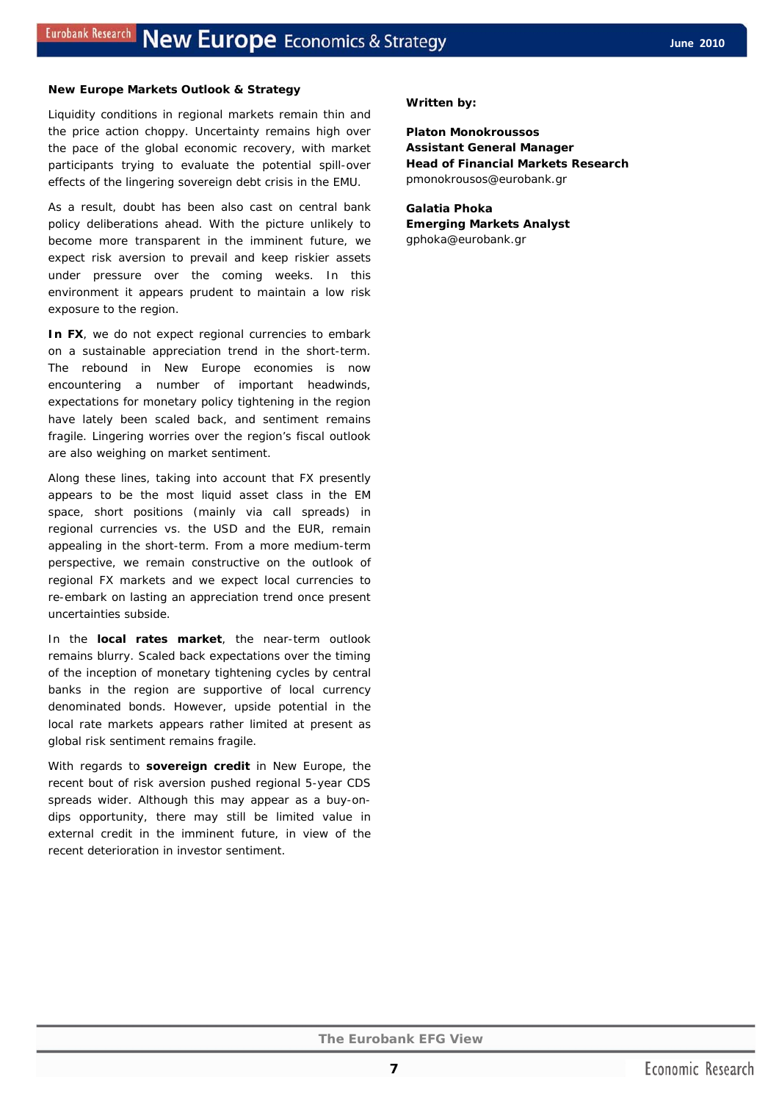#### **New Europe Markets Outlook & Strategy**

Liquidity conditions in regional markets remain thin and the price action choppy. Uncertainty remains high over the pace of the global economic recovery, with market participants trying to evaluate the potential spill-over effects of the lingering sovereign debt crisis in the EMU.

As a result, doubt has been also cast on central bank policy deliberations ahead. With the picture unlikely to become more transparent in the imminent future, we expect risk aversion to prevail and keep riskier assets under pressure over the coming weeks. In this environment it appears prudent to maintain a low risk exposure to the region.

In FX, we do not expect regional currencies to embark on a sustainable appreciation trend in the short-term. The rebound in New Europe economies is now encountering a number of important headwinds, expectations for monetary policy tightening in the region have lately been scaled back, and sentiment remains fragile. Lingering worries over the region's fiscal outlook are also weighing on market sentiment.

Along these lines, taking into account that FX presently appears to be the most liquid asset class in the EM space, short positions (mainly via call spreads) in regional currencies vs. the USD and the EUR, remain appealing in the short-term. From a more medium-term perspective, we remain constructive on the outlook of regional FX markets and we expect local currencies to re-embark on lasting an appreciation trend once present uncertainties subside.

In the **local rates market**, the near-term outlook remains blurry. Scaled back expectations over the timing of the inception of monetary tightening cycles by central banks in the region are supportive of local currency denominated bonds. However, upside potential in the local rate markets appears rather limited at present as global risk sentiment remains fragile.

With regards to **sovereign credit** in New Europe, the recent bout of risk aversion pushed regional 5-year CDS spreads wider. Although this may appear as a *buy-ondips* opportunity, there may still be limited value in external credit in the imminent future, in view of the recent deterioration in investor sentiment.

#### *Written by:*

**Platon Monokroussos Assistant General Manager Head of Financial Markets Research**  pmonokrousos@eurobank.gr

**Galatia Phoka Emerging Markets Analyst** gphoka@eurobank.gr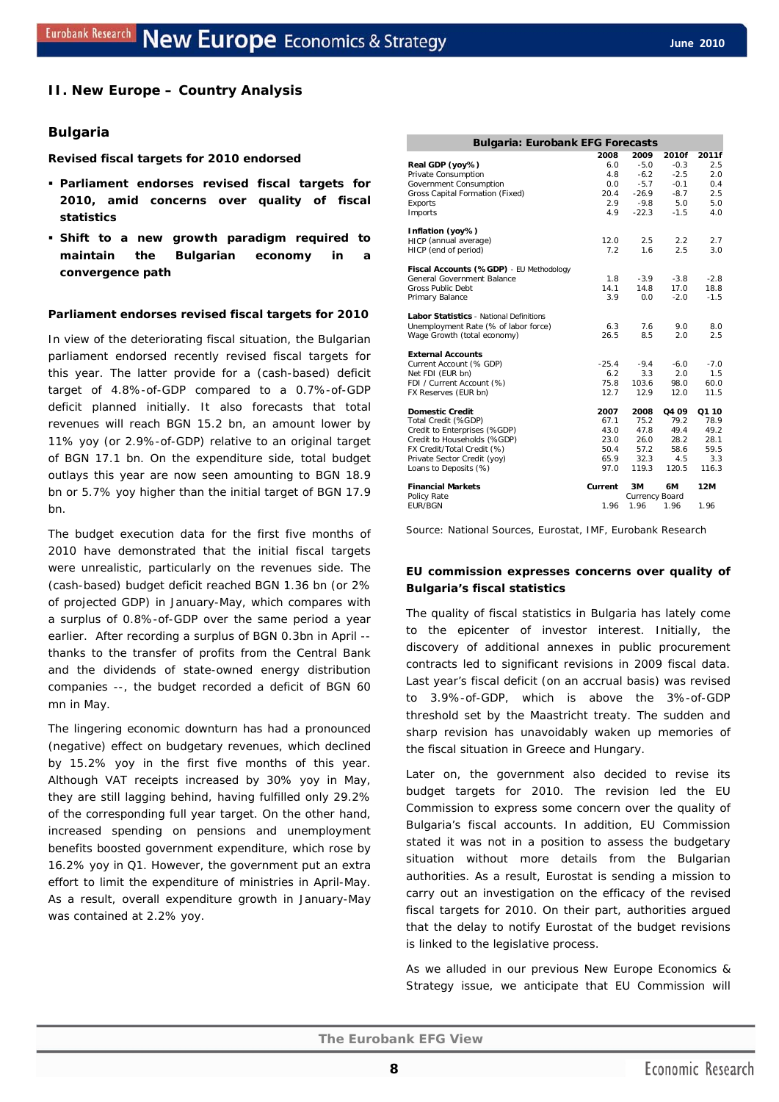#### **II. New Europe – Country Analysis**

#### **Bulgaria**

**Revised fiscal targets for 2010 endorsed** 

- **Parliament endorses revised fiscal targets for 2010, amid concerns over quality of fiscal statistics**
- **Shift to a new growth paradigm required to maintain the Bulgarian economy in a convergence path**

#### **Parliament endorses revised fiscal targets for 2010**

In view of the deteriorating fiscal situation, the Bulgarian parliament endorsed recently revised fiscal targets for this year. The latter provide for a (cash-based) deficit target of 4.8%-of-GDP compared to a 0.7%-of-GDP deficit planned initially. It also forecasts that total revenues will reach BGN 15.2 bn, an amount lower by 11% yoy *(or 2.9%-of-GDP*) relative to an original target of BGN 17.1 bn. On the expenditure side, total budget outlays this year are now seen amounting to BGN 18.9 bn or 5.7% yoy higher than the initial target of BGN 17.9 bn.

The budget execution data for the first five months of 2010 have demonstrated that the initial fiscal targets were unrealistic, particularly on the revenues side. The (cash-based) budget deficit reached BGN 1.36 bn (or 2% of projected GDP) in January-May, which compares with a surplus of 0.8%-of-GDP over the same period a year earlier. After recording a surplus of BGN 0.3bn in April - thanks to the transfer of profits from the Central Bank and the dividends of state-owned energy distribution companies --, the budget recorded a deficit of BGN 60 mn in May.

The lingering economic downturn has had a pronounced (negative) effect on budgetary revenues, which declined by 15.2% yoy in the first five months of this year. Although VAT receipts increased by 30% yoy in May, they are still lagging behind, having fulfilled only 29.2% of the corresponding full year target. On the other hand, increased spending on pensions and unemployment benefits boosted government expenditure, which rose by 16.2% yoy in Q1. However, the government put an extra effort to limit the expenditure of ministries in April-May. As a result, overall expenditure growth in January-May was contained at 2.2% yoy.

| <b>Bulgaria: Eurobank EFG Forecasts</b>        |         |                |        |        |  |  |  |
|------------------------------------------------|---------|----------------|--------|--------|--|--|--|
|                                                | 2008    | 2009           | 2010f  | 2011f  |  |  |  |
| Real GDP (yoy%)                                | 6.0     | $-5.0$         | $-0.3$ | 2.5    |  |  |  |
| Private Consumption                            | 4.8     | $-6.2$         | $-2.5$ | 2.0    |  |  |  |
| Government Consumption                         | 0.0     | $-5.7$         | $-0.1$ | 0.4    |  |  |  |
| Gross Capital Formation (Fixed)                | 20.4    | $-26.9$        | $-8.7$ | 2.5    |  |  |  |
| <b>Exports</b>                                 | 2.9     | $-9.8$         | 5.0    | 5.0    |  |  |  |
| Imports                                        | 4.9     | $-22.3$        | $-1.5$ | 4.0    |  |  |  |
| Inflation (yoy%)                               |         |                |        |        |  |  |  |
| HICP (annual average)                          | 12.0    | 2.5            | 2.2    | 2.7    |  |  |  |
| HICP (end of period)                           | 7.2     | 1.6            | 2.5    | 3.0    |  |  |  |
| Fiscal Accounts (%GDP) - EU Methodology        |         |                |        |        |  |  |  |
| General Government Balance                     | 1.8     | $-3.9$         | $-3.8$ | $-2.8$ |  |  |  |
| Gross Public Debt                              | 14.1    | 14.8           | 17.0   | 18.8   |  |  |  |
| Primary Balance                                | 3.9     | 0.0            | $-2.0$ | $-1.5$ |  |  |  |
| <b>Labor Statistics - National Definitions</b> |         |                |        |        |  |  |  |
| Unemployment Rate (% of labor force)           | 6.3     | 76             | 9.0    | 8.0    |  |  |  |
| Wage Growth (total economy)                    | 26.5    | 8.5            | 2.0    | 2.5    |  |  |  |
| <b>External Accounts</b>                       |         |                |        |        |  |  |  |
| Current Account (% GDP)                        | $-25.4$ | $-9.4$         | $-6.0$ | $-7.0$ |  |  |  |
| Net FDI (EUR bn)                               | 6.2     | 3.3            | 2.0    | 1.5    |  |  |  |
| FDI / Current Account (%)                      | 75.8    | 103.6          | 98.0   | 60.0   |  |  |  |
| FX Reserves (EUR bn)                           | 12.7    | 12.9           | 12.0   | 11.5   |  |  |  |
| Domestic Credit                                | 2007    | 2008           | Q4 09  | Q1 10  |  |  |  |
| Total Credit (%GDP)                            | 67.1    | 75.2           | 79.2   | 78.9   |  |  |  |
| Credit to Enterprises (%GDP)                   | 43.0    | 47.8           | 49.4   | 49.2   |  |  |  |
| Credit to Households (%GDP)                    | 23.0    | 26.0           | 28.2   | 28.1   |  |  |  |
| FX Credit/Total Credit (%)                     | 50.4    | 57.2           | 58.6   | 59.5   |  |  |  |
| Private Sector Credit (yoy)                    | 65.9    | 32.3           | 4.5    | 3.3    |  |  |  |
| Loans to Deposits (%)                          | 97.0    | 119.3          | 120.5  | 116.3  |  |  |  |
| <b>Financial Markets</b>                       | Current | ЗM             | 6M     | 12M    |  |  |  |
| Policy Rate                                    |         | Currency Board |        |        |  |  |  |
| <b>FUR/BGN</b>                                 | 1.96    | 1.96           | 1.96   | 1.96   |  |  |  |

Source: National Sources, Eurostat, IMF, Eurobank Research

#### **EU commission expresses concerns over quality of Bulgaria's fiscal statistics**

The quality of fiscal statistics in Bulgaria has lately come to the epicenter of investor interest. Initially, the discovery of additional annexes in public procurement contracts led to significant revisions in 2009 fiscal data. Last year's fiscal deficit *(on an accrual basis)* was revised to 3.9%-of-GDP, which is above the 3%-of-GDP threshold set by the Maastricht treaty. The sudden and sharp revision has unavoidably waken up memories of the fiscal situation in Greece and Hungary.

Later on, the government also decided to revise its budget targets for 2010. The revision led the EU Commission to express some concern over the quality of Bulgaria's fiscal accounts. In addition, EU Commission stated it was not in a position to assess the budgetary situation without more details from the Bulgarian authorities. As a result, Eurostat is sending a mission to carry out an investigation on the efficacy of the revised fiscal targets for 2010. On their part, authorities argued that the delay to notify Eurostat of the budget revisions is linked to the legislative process.

As we alluded in our previous *New Europe Economics & Strategy* issue, we anticipate that EU Commission will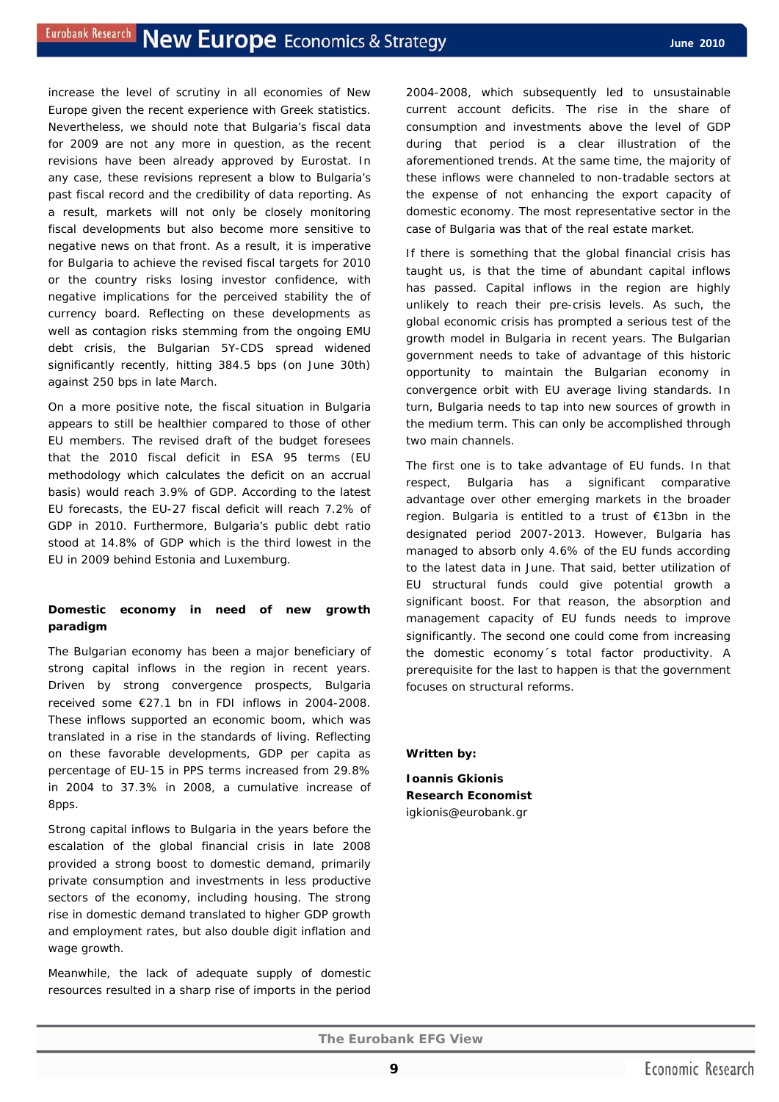increase the level of scrutiny in all economies of New Europe given the recent experience with Greek statistics. Nevertheless, we should note that Bulgaria's fiscal data for 2009 are not any more in question, as the recent revisions have been already approved by Eurostat. In any case, these revisions represent a blow to Bulgaria's past fiscal record and the credibility of data reporting. As a result, markets will not only be closely monitoring fiscal developments but also become more sensitive to negative news on that front. As a result, it is imperative for Bulgaria to achieve the revised fiscal targets for 2010 or the country risks losing investor confidence, with negative implications for the perceived stability the of currency board. Reflecting on these developments as well as contagion risks stemming from the ongoing EMU debt crisis, the Bulgarian 5Y-CDS spread widened significantly recently, hitting 384.5 bps (on June 30th) against 250 bps in late March.

On a more positive note, the fiscal situation in Bulgaria appears to still be healthier compared to those of other EU members. The revised draft of the budget foresees that the 2010 fiscal deficit in ESA 95 terms (EU methodology which calculates the deficit on an accrual basis) would reach 3.9% of GDP. According to the latest EU forecasts, the EU-27 fiscal deficit will reach 7.2% of GDP in 2010. Furthermore, Bulgaria's public debt ratio stood at 14.8% of GDP which is the third lowest in the EU in 2009 behind Estonia and Luxemburg.

## **Domestic economy in need of new growth paradigm**

The Bulgarian economy has been a major beneficiary of strong capital inflows in the region in recent years. Driven by strong convergence prospects, Bulgaria received some €27.1 bn in FDI inflows in 2004-2008. These inflows supported an economic boom, which was translated in a rise in the standards of living. Reflecting on these favorable developments, GDP per capita as percentage of EU-15 in PPS terms increased from 29.8% in 2004 to 37.3% in 2008, a cumulative increase of 8pps.

Strong capital inflows to Bulgaria in the years before the escalation of the global financial crisis in late 2008 provided a strong boost to domestic demand, primarily private consumption and investments in less productive sectors of the economy, including housing. The strong rise in domestic demand translated to higher GDP growth and employment rates, but also double digit inflation and wage growth.

Meanwhile, the lack of adequate supply of domestic resources resulted in a sharp rise of imports in the period 2004-2008, which subsequently led to unsustainable current account deficits. The rise in the share of consumption and investments above the level of GDP during that period is a clear illustration of the aforementioned trends. At the same time, the majority of these inflows were channeled to non-tradable sectors at the expense of not enhancing the export capacity of domestic economy. The most representative sector in the case of Bulgaria was that of the real estate market.

If there is something that the global financial crisis has taught us, is that the time of abundant capital inflows has passed. Capital inflows in the region are highly unlikely to reach their pre-crisis levels. As such, the global economic crisis has prompted a serious test of the growth model in Bulgaria in recent years. The Bulgarian government needs to take of advantage of this historic opportunity to maintain the Bulgarian economy in convergence orbit with EU average living standards. In turn, Bulgaria needs to tap into new sources of growth in the medium term. This can only be accomplished through two main channels.

The first one is to take advantage of EU funds. In that respect, Bulgaria has a significant comparative advantage over other emerging markets in the broader region. Bulgaria is entitled to a trust of €13bn in the designated period 2007-2013. However, Bulgaria has managed to absorb only 4.6% of the EU funds according to the latest data in June. That said, better utilization of EU structural funds could give potential growth a significant boost. For that reason, the absorption and management capacity of EU funds needs to improve significantly. The second one could come from increasing the domestic economy´s total factor productivity. A prerequisite for the last to happen is that the government focuses on structural reforms.

### *Written by:*

**Ioannis Gkionis Research Economist**  igkionis@eurobank.gr

**9**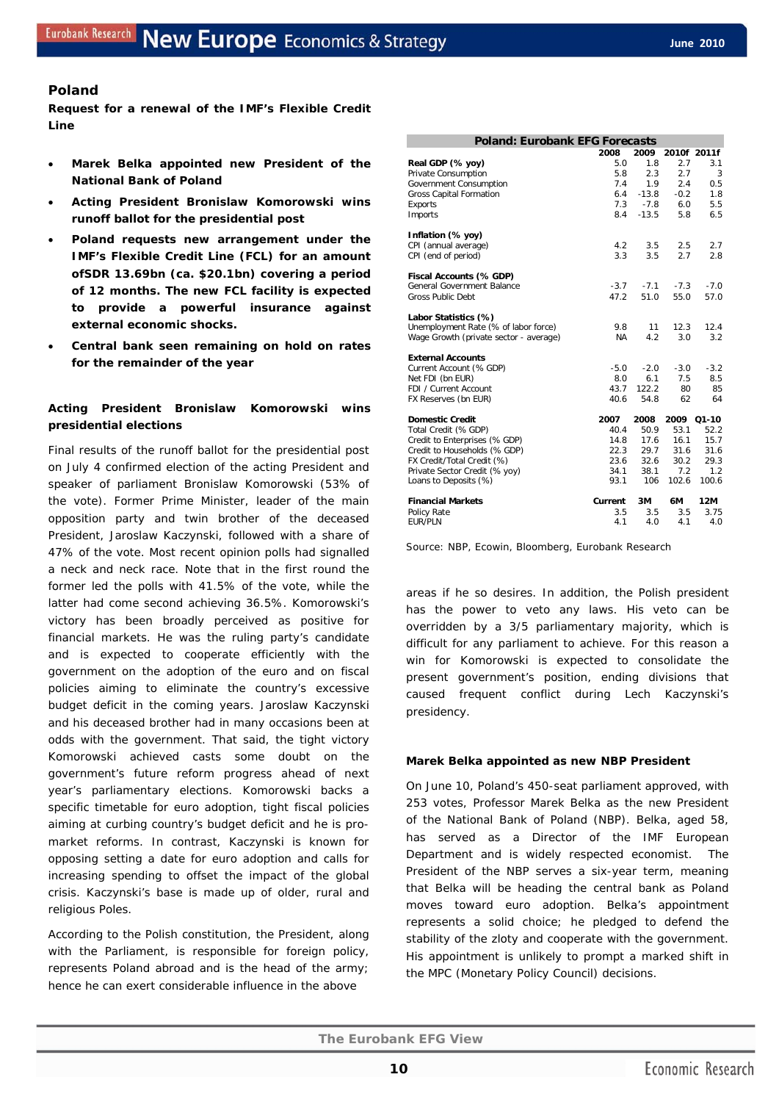## **Poland**

**Request for a renewal of the IMF's Flexible Credit Line** 

- **Marek Belka appointed new President of the National Bank of Poland**
- **Acting President Bronislaw Komorowski wins runoff ballot for the presidential post**
- **Poland requests new arrangement under the IMF's Flexible Credit Line (FCL) for an amount ofSDR 13.69bn (ca. \$20.1bn) covering a period of 12 months. The new FCL facility is expected to provide a powerful insurance against external economic shocks.**
- **Central bank seen remaining on hold on rates for the remainder of the year**

## **Acting President Bronislaw Komorowski wins presidential elections**

Final results of the runoff ballot for the presidential post on July 4 confirmed election of the acting President and speaker of parliament Bronislaw Komorowski *(53% of the vote).* Former Prime Minister, leader of the main opposition party and twin brother of the deceased President, Jaroslaw Kaczynski, followed with a share of 47% of the vote. Most recent opinion polls had signalled a neck and neck race. Note that in the first round the former led the polls with 41.5% of the vote, while the latter had come second achieving 36.5%. Komorowski's victory has been broadly perceived as positive for financial markets. He was the ruling party's candidate and is expected to cooperate efficiently with the government on the adoption of the euro and on fiscal policies aiming to eliminate the country's excessive budget deficit in the coming years. Jaroslaw Kaczynski and his deceased brother had in many occasions been at odds with the government. That said, the tight victory Komorowski achieved casts some doubt on the government's future reform progress ahead of next year's parliamentary elections. Komorowski backs a specific timetable for euro adoption, tight fiscal policies aiming at curbing country's budget deficit and he is promarket reforms. In contrast, Kaczynski is known for opposing setting a date for euro adoption and calls for increasing spending to offset the impact of the global crisis. Kaczynski's base is made up of older, rural and religious Poles.

According to the Polish constitution, the President, along with the Parliament, is responsible for foreign policy, represents Poland abroad and is the head of the army; hence he can exert considerable influence in the above

| <b>Poland: Eurobank EFG Forecasts</b>  |           |         |             |         |
|----------------------------------------|-----------|---------|-------------|---------|
|                                        | 2008      | 2009    | 2010f 2011f |         |
| Real GDP (% yoy)                       | 5.0       | 1.8     | 2.7         | 3.1     |
| Private Consumption                    | 5.8       | 2.3     | 2.7         | 3       |
| Government Consumption                 | 7.4       | 1.9     | 2.4         | 0.5     |
| Gross Capital Formation                | 6.4       | $-13.8$ | $-0.2$      | 1.8     |
| <b>Exports</b>                         | 7.3       | $-7.8$  | 6.0         | 5.5     |
| Imports                                | 8.4       | $-13.5$ | 5.8         | 6.5     |
| Inflation (% yoy)                      |           |         |             |         |
| CPI (annual average)                   | 4.2       | 3.5     | 2.5         | 2.7     |
| CPI (end of period)                    | 3.3       | 3.5     | 2.7         | 2.8     |
| Fiscal Accounts (% GDP)                |           |         |             |         |
| General Government Balance             | $-3.7$    | $-7.1$  | $-7.3$      | $-70$   |
| <b>Gross Public Debt</b>               | 47.2      | 51.0    | 55.0        | 57.0    |
| Labor Statistics (%)                   |           |         |             |         |
| Unemployment Rate (% of labor force)   | 9.8       | 11      | 12.3        | 12.4    |
| Wage Growth (private sector - average) | <b>NA</b> | 4.2     | 3.0         | 3.2     |
| <b>External Accounts</b>               |           |         |             |         |
| Current Account (% GDP)                | -5.0      | $-2.0$  | $-3.0$      | $-3.2$  |
| Net FDI (bn EUR)                       | 8.0       | 61      | 7.5         | 8.5     |
| FDI / Current Account                  | 43.7      | 122.2   | 80          | 85      |
| FX Reserves (bn EUR)                   | 40.6      | 54.8    | 62          | 64      |
| <b>Domestic Credit</b>                 | 2007      | 2008    | 2009        | $Q1-10$ |
| Total Credit (% GDP)                   | 40.4      | 50.9    | 53.1        | 52.2    |
| Credit to Enterprises (% GDP)          | 14.8      | 17.6    | 16.1        | 15.7    |
| Credit to Households (% GDP)           | 22.3      | 29.7    | 31.6        | 31.6    |
| FX Credit/Total Credit (%)             | 23.6      | 32.6    | 30.2        | 29.3    |
| Private Sector Credit (% yoy)          | 34.1      | 38.1    | 7.2         | 1.2     |
| Loans to Deposits (%)                  | 93.1      | 106     | 102.6       | 100.6   |
| <b>Financial Markets</b>               | Current   | 3M      | 6M          | 12M     |
| <b>Policy Rate</b>                     | 3.5       | 3.5     | 3.5         | 3.75    |
| <b>EUR/PLN</b>                         | 4.1       | 4.0     | 4.1         | 4.0     |

Source: NBP, Ecowin, Bloomberg, Eurobank Research

areas if he so desires. In addition, the Polish president has the power to veto any laws. His veto can be overridden by a 3/5 parliamentary majority, which is difficult for any parliament to achieve. For this reason a win for Komorowski is expected to consolidate the present government's position, ending divisions that caused frequent conflict during Lech Kaczynski's presidency.

#### **Marek Belka appointed as new NBP President**

On June 10, Poland's 450-seat parliament approved, with 253 votes, Professor Marek Belka as the new President of the National Bank of Poland (NBP). Belka, aged 58, has served as a Director of the IMF European Department and is widely respected economist. The President of the NBP serves a six-year term, meaning that Belka will be heading the central bank as Poland moves toward euro adoption. Belka's appointment represents a solid choice; he pledged to defend the stability of the zloty and cooperate with the government. His appointment is unlikely to prompt a marked shift in the MPC (Monetary Policy Council) decisions.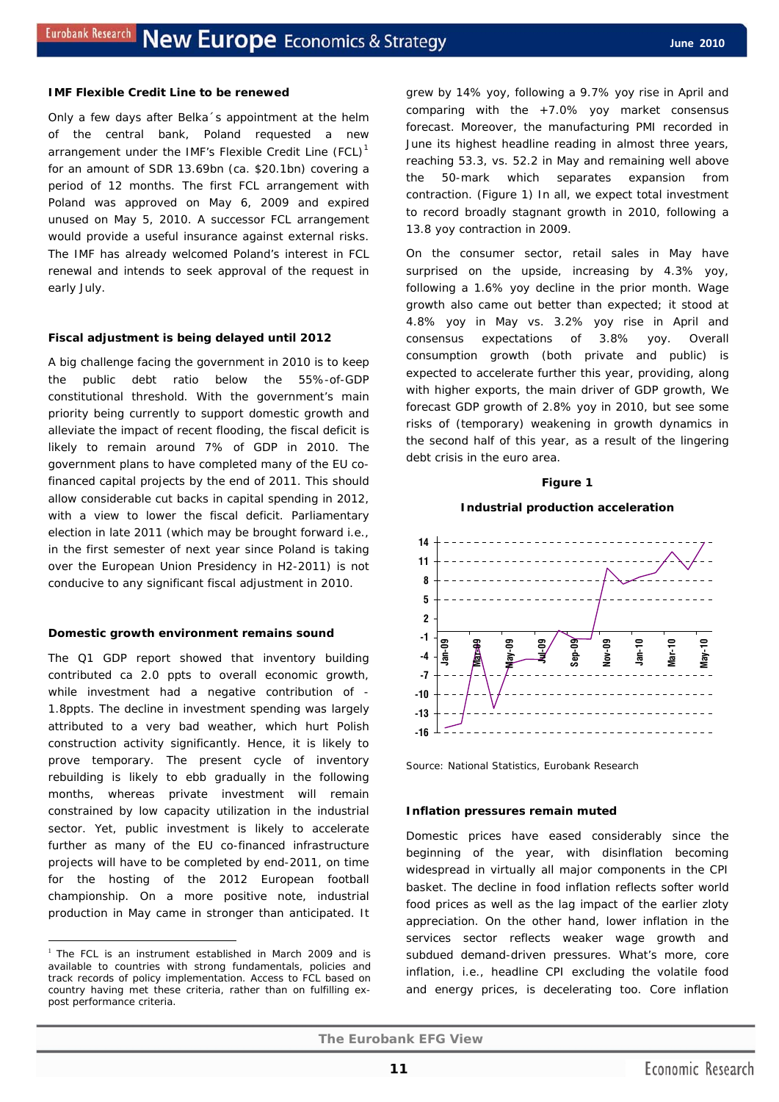#### **IMF Flexible Credit Line to be renewed**

Only a few days after Belka´s appointment at the helm of the central bank, Poland requested a new arrangement under the IMF's Flexible Credit Line  $(FCL)^1$  $(FCL)^1$ for an amount of SDR 13.69bn (ca. \$20.1bn) covering a period of 12 months. The first FCL arrangement with Poland was approved on May 6, 2009 and expired unused on May 5, 2010. A successor FCL arrangement would provide a useful insurance against external risks. The IMF has already welcomed Poland's interest in FCL renewal and intends to seek approval of the request in early July.

#### **Fiscal adjustment is being delayed until 2012**

A big challenge facing the government in 2010 is to keep the public debt ratio below the 55%-of-GDP constitutional threshold. With the government's main priority being currently to support domestic growth and alleviate the impact of recent flooding, the fiscal deficit is likely to remain around 7% of GDP in 2010. The government plans to have completed many of the EU cofinanced capital projects by the end of 2011. This should allow considerable cut backs in capital spending in 2012, with a view to lower the fiscal deficit. Parliamentary election in late 2011 (which may be brought forward *i.e., in the first semester of next year* since Poland is taking over the European Union Presidency in H2-2011) is not conducive to any significant fiscal adjustment in 2010.

#### **Domestic growth environment remains sound**

The Q1 GDP report showed that inventory building contributed ca 2.0 ppts to overall economic growth, while investment had a negative contribution of - 1.8ppts. The decline in investment spending was largely attributed to a very bad weather, which hurt Polish construction activity significantly. Hence, it is likely to prove temporary. The present cycle of inventory rebuilding is likely to ebb gradually in the following months, whereas private investment will remain constrained by low capacity utilization in the industrial sector. Yet, public investment is likely to accelerate further as many of the EU co-financed infrastructure projects will have to be completed by end-2011, on time for the hosting of the 2012 European football championship. On a more positive note, industrial production in May came in stronger than anticipated. It

 $\overline{a}$ 

grew by 14% yoy, following a 9.7% yoy rise in April and comparing with the +7.0% yoy market consensus forecast. Moreover, the manufacturing PMI recorded in June its highest headline reading in almost three years, reaching 53.3, vs. 52.2 in May and remaining well above the 50-mark which separates expansion from contraction. (Figure 1) In all, we expect total investment to record broadly stagnant growth in 2010, following a 13.8 yoy contraction in 2009.

On the consumer sector, retail sales in May have surprised on the upside, increasing by 4.3% yoy, following a 1.6% yoy decline in the prior month. Wage growth also came out better than expected; it stood at 4.8% yoy in May vs. 3.2% yoy rise in April and consensus expectations of 3.8% yoy. Overall consumption growth *(both private and public)* is expected to accelerate further this year, providing, along with higher exports, the main driver of GDP growth, We forecast GDP growth of 2.8% yoy in 2010, but see some risks of (temporary) weakening in growth dynamics in the second half of this year, as a result of the lingering debt crisis in the euro area.

#### **Figure 1**

## **Industrial production acceleration**



Source: National Statistics, Eurobank Research

#### **Inflation pressures remain muted**

Domestic prices have eased considerably since the beginning of the year, with disinflation becoming widespread in virtually all major components in the CPI basket. The decline in food inflation reflects softer world food prices as well as the lag impact of the earlier zloty appreciation. On the other hand, lower inflation in the services sector reflects weaker wage growth and subdued demand-driven pressures. What's more, core inflation, *i.e., headline CPI excluding the volatile food and energy prices,* is decelerating too. Core inflation

<span id="page-10-0"></span> $1$  The FCL is an instrument established in March 2009 and is available to countries with strong fundamentals, policies and track records of policy implementation. Access to FCL based on country having met these criteria, rather than on fulfilling expost performance criteria.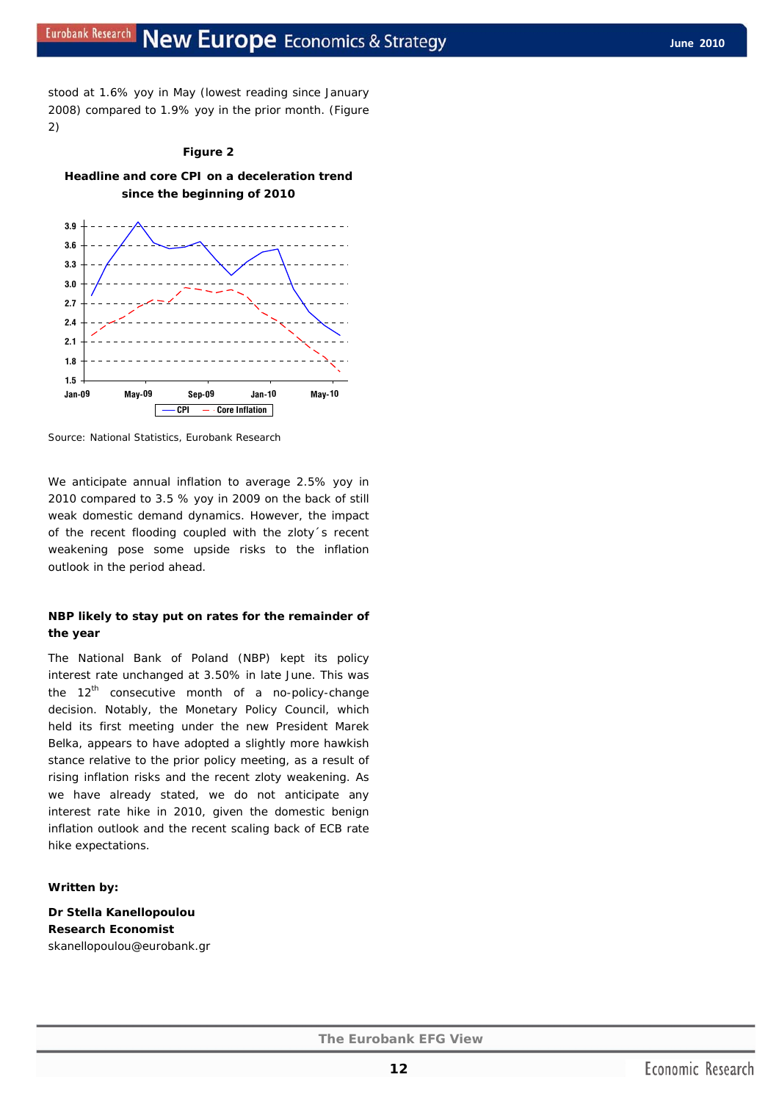stood at 1.6% yoy in May (lowest reading since January 2008) compared to 1.9% yoy in the prior month. (Figure 2)

## **Figure 2 Headline and core CPI on a deceleration trend**



Source: National Statistics, Eurobank Research

We anticipate annual inflation to average 2.5% yoy in 2010 compared to 3.5 % yoy in 2009 on the back of still weak domestic demand dynamics. However, the impact of the recent flooding coupled with the zloty´s recent weakening pose some upside risks to the inflation outlook in the period ahead.

#### **NBP likely to stay put on rates for the remainder of the year**

The National Bank of Poland (NBP) kept its policy interest rate unchanged at 3.50% in late June. This was the 12<sup>th</sup> consecutive month of a *no-policy-change* decision. Notably, the Monetary Policy Council, which held its first meeting under the new President Marek Belka, appears to have adopted a slightly more hawkish stance relative to the prior policy meeting, as a result of rising inflation risks and the recent zloty weakening. As we have already stated, we do not anticipate any interest rate hike in 2010, given the domestic benign inflation outlook and the recent scaling back of ECB rate hike expectations.

#### *Written by:*

**Dr Stella Kanellopoulou Research Economist**  skanellopoulou@eurobank.gr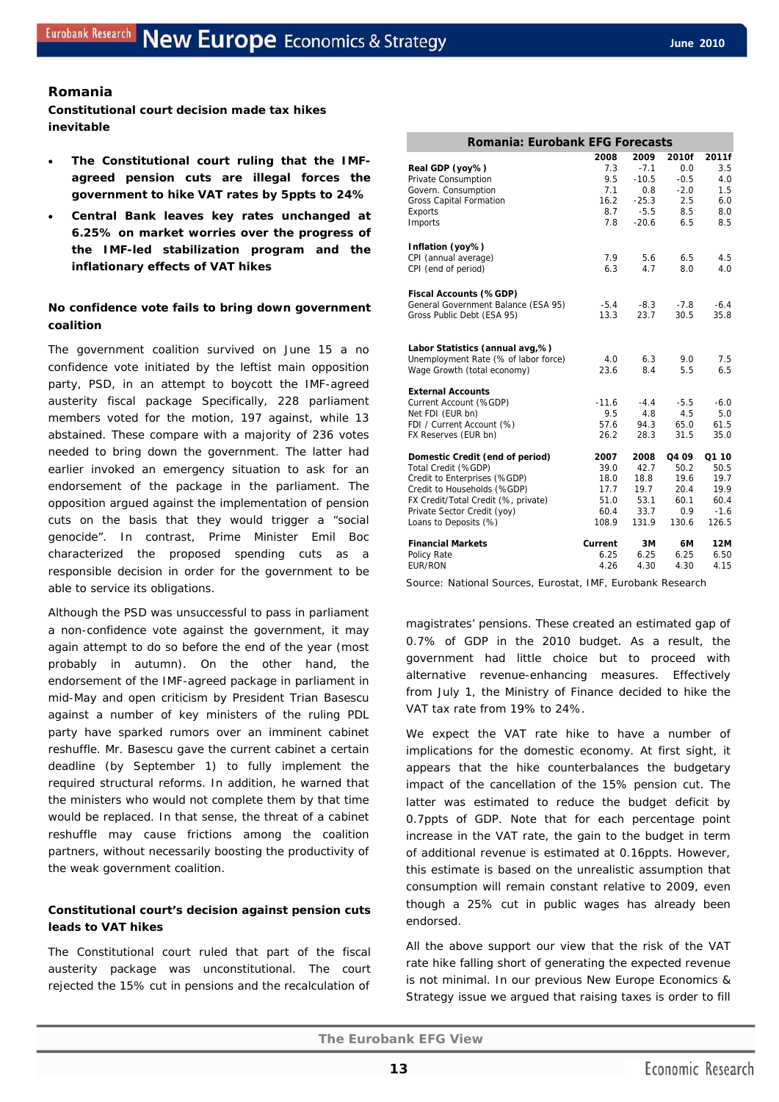## **Romania**

**Constitutional court decision made tax hikes inevitable** 

- The Constitutional court ruling that the IMF**agreed pension cuts are illegal forces the government to hike VAT rates by 5ppts to 24%**
- **Central Bank leaves key rates unchanged at 6.25% on market worries over the progress of the IMF-led stabilization program and the inflationary effects of VAT hikes**

## **No confidence vote fails to bring down government coalition**

The government coalition survived on June 15 a no confidence vote initiated by the leftist main opposition party, PSD, in an attempt to boycott the IMF-agreed austerity fiscal package Specifically, 228 parliament members voted for the motion, 197 against, while 13 abstained. These compare with a majority of 236 votes needed to bring down the government. The latter had earlier invoked an emergency situation to ask for an endorsement of the package in the parliament. The opposition argued against the implementation of pension cuts on the basis that they would trigger a "social genocide". In contrast, Prime Minister Emil Boc characterized the proposed spending cuts as a responsible decision in order for the government to be able to service its obligations.

Although the PSD was unsuccessful to pass in parliament a non-confidence vote against the government, it may again attempt to do so before the end of the year (most probably in autumn). On the other hand, the endorsement of the IMF-agreed package in parliament in mid-May and open criticism by President Trian Basescu against a number of key ministers of the ruling PDL party have sparked rumors over an imminent cabinet reshuffle. Mr. Basescu gave the current cabinet a certain deadline (by September 1) to fully implement the required structural reforms. In addition, he warned that the ministers who would not complete them by that time would be replaced. In that sense, the threat of a cabinet reshuffle may cause frictions among the coalition partners, without necessarily boosting the productivity of the weak government coalition.

## **Constitutional court's decision against pension cuts leads to VAT hikes**

The Constitutional court ruled that part of the fiscal austerity package was unconstitutional. The court rejected the 15% cut in pensions and the recalculation of

| Romania: Eurobank EFG Forecasts      |             |            |            |            |  |  |  |  |
|--------------------------------------|-------------|------------|------------|------------|--|--|--|--|
|                                      | 2008        | 2009       | 2010f      | 2011f      |  |  |  |  |
| Real GDP (yoy%)                      | 7.3         | $-7.1$     | 0.0        | 3.5        |  |  |  |  |
| Private Consumption                  | 9.5         | $-10.5$    | $-0.5$     | 4.0        |  |  |  |  |
| Govern. Consumption                  | 7.1         | 0.8        | $-2.0$     | 1.5        |  |  |  |  |
| <b>Gross Capital Formation</b>       | 16.2        | $-25.3$    | 2.5        | 6.0        |  |  |  |  |
| Exports                              | 8.7         | $-5.5$     | 8.5        | 8.0        |  |  |  |  |
| Imports                              | 7.8         | $-20.6$    | 6.5        | 8.5        |  |  |  |  |
| Inflation (yoy%)                     |             |            |            |            |  |  |  |  |
| CPI (annual average)                 | 7.9         | 5.6        | 6.5        | 4.5        |  |  |  |  |
| CPI (end of period)                  | 6.3         | 47         | 8.0        | 4.0        |  |  |  |  |
| Fiscal Accounts (%GDP)               |             |            |            |            |  |  |  |  |
| General Government Balance (ESA 95)  | $-5.4$      | $-8.3$     | $-7.8$     | $-6.4$     |  |  |  |  |
| Gross Public Debt (ESA 95)           | 13.3        | 23.7       | 30.5       | 35.8       |  |  |  |  |
|                                      |             |            |            |            |  |  |  |  |
| Labor Statistics (annual avg,%)      |             |            |            |            |  |  |  |  |
| Unemployment Rate (% of labor force) | 4.0<br>23.6 | 6.3<br>8.4 | 9.0<br>5.5 | 7.5<br>6.5 |  |  |  |  |
| Wage Growth (total economy)          |             |            |            |            |  |  |  |  |
| <b>External Accounts</b>             |             |            |            |            |  |  |  |  |
| Current Account (%GDP)               | $-11.6$     | $-4.4$     | $-5.5$     | $-6.0$     |  |  |  |  |
| Net FDI (EUR bn)                     | 9.5         | 4.8        | 4.5        | 5.0        |  |  |  |  |
| FDI / Current Account (%)            | 57.6        | 94.3       | 65.0       | 61.5       |  |  |  |  |
| FX Reserves (EUR bn)                 | 26.2        | 28.3       | 31.5       | 35.0       |  |  |  |  |
| Domestic Credit (end of period)      | 2007        | 2008       | Q4 09      | Q1 10      |  |  |  |  |
| Total Credit (%GDP)                  | 39.0        | 42.7       | 50.2       | 50.5       |  |  |  |  |
| Credit to Enterprises (%GDP)         | 18.0        | 18.8       | 19.6       | 19.7       |  |  |  |  |
| Credit to Households (%GDP)          | 17.7        | 19.7       | 20.4       | 19.9       |  |  |  |  |
| FX Credit/Total Credit (%, private)  | 51.0        | 53.1       | 60.1       | 60.4       |  |  |  |  |
| Private Sector Credit (yoy)          | 60.4        | 33.7       | 0.9        | $-1.6$     |  |  |  |  |
| Loans to Deposits (%)                | 108.9       | 131.9      | 130.6      | 126.5      |  |  |  |  |
| <b>Financial Markets</b>             | Current     | 3M         | 6M         | 12M        |  |  |  |  |
| Policy Rate                          | 6.25        | 6.25       | 6.25       | 6.50       |  |  |  |  |
| <b>EUR/RON</b>                       | 4.26        | 4.30       | 4.30       | 4.15       |  |  |  |  |

Source: National Sources, Eurostat, IMF, Eurobank Research

magistrates' pensions. These created an estimated gap of 0.7% of GDP in the 2010 budget. As a result, the government had little choice but to proceed with alternative revenue-enhancing measures. Effectively from July 1, the Ministry of Finance decided to hike the VAT tax rate from 19% to 24%.

We expect the VAT rate hike to have a number of implications for the domestic economy. At first sight, it appears that the hike counterbalances the budgetary impact of the cancellation of the 15% pension cut. The latter was estimated to reduce the budget deficit by 0.7ppts of GDP. Note that for each percentage point increase in the VAT rate, the gain to the budget in term of additional revenue is estimated at 0.16ppts. However, this estimate is based on the unrealistic assumption that consumption will remain constant relative to 2009, even though a 25% cut in public wages has already been endorsed.

All the above support our view that the risk of the VAT rate hike falling short of generating the expected revenue is not minimal. In our previous *New Europe Economics & Strategy* issue we argued that raising taxes is order to fill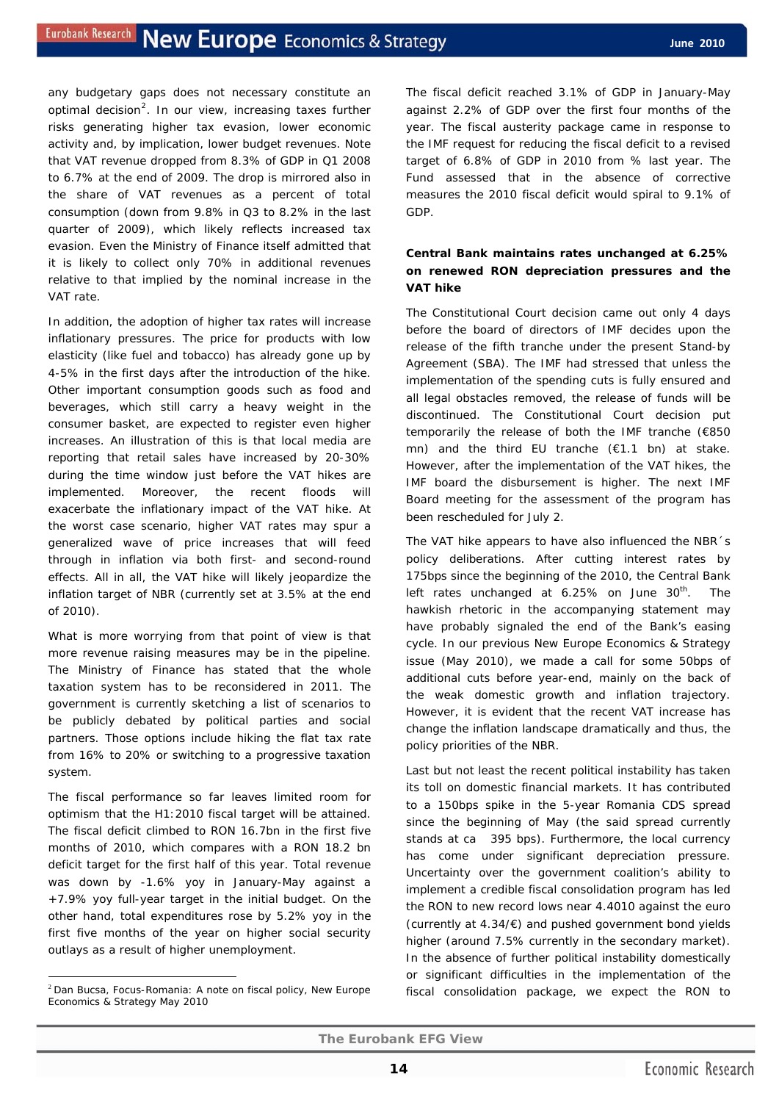any budgetary gaps does not necessary constitute an optimal decision<sup>[2](#page-13-0)</sup>. In our view, increasing taxes further risks generating higher tax evasion, lower economic activity and, by implication, lower budget revenues. Note that VAT revenue dropped from 8.3% of GDP in Q1 2008 to 6.7% at the end of 2009. The drop is mirrored also in the share of VAT revenues as a percent of total consumption (down from 9.8% in Q3 to 8.2% in the last quarter of 2009), which likely reflects increased tax evasion. Even the Ministry of Finance itself admitted that it is likely to collect only 70% in additional revenues relative to that implied by the nominal increase in the VAT rate.

In addition, the adoption of higher tax rates will increase inflationary pressures. The price for products with low elasticity (like fuel and tobacco) has already gone up by 4-5% in the first days after the introduction of the hike. Other important consumption goods such as food and beverages, which still carry a heavy weight in the consumer basket, are expected to register even higher increases. An illustration of this is that local media are reporting that retail sales have increased by 20-30% during the time window just before the VAT hikes are implemented. Moreover, the recent floods will exacerbate the inflationary impact of the VAT hike. At the worst case scenario, higher VAT rates may spur a generalized wave of price increases that will feed through in inflation via both first- and second-round effects. All in all, the VAT hike will likely jeopardize the inflation target of NBR (currently set at 3.5% at the end of 2010).

What is more worrying from that point of view is that more revenue raising measures may be in the pipeline. The Ministry of Finance has stated that the whole taxation system has to be reconsidered in 2011. The government is currently sketching a list of scenarios to be publicly debated by political parties and social partners. Those options include hiking the flat tax rate from 16% to 20% or switching to a progressive taxation system.

The fiscal performance so far leaves limited room for optimism that the H1:2010 fiscal target will be attained. The fiscal deficit climbed to RON 16.7bn in the first five months of 2010, which compares with a RON 18.2 bn deficit target for the first half of this year. Total revenue was down by -1.6% yoy in January-May against a +7.9% yoy full-year target in the initial budget. On the other hand, total expenditures rose by 5.2% yoy in the first five months of the year on higher social security outlays as a result of higher unemployment.

 $\overline{a}$ 

The fiscal deficit reached 3.1% of GDP in January-May against 2.2% of GDP over the first four months of the year. The fiscal austerity package came in response to the IMF request for reducing the fiscal deficit to a revised target of 6.8% of GDP in 2010 from % last year. The Fund assessed that in the absence of corrective measures the 2010 fiscal deficit would spiral to 9.1% of GDP.

## **Central Bank maintains rates unchanged at 6.25% on renewed RON depreciation pressures and the VAT hike**

The Constitutional Court decision came out only 4 days before the board of directors of IMF decides upon the release of the fifth tranche under the present Stand-by Agreement (SBA). The IMF had stressed that unless the implementation of the spending cuts is fully ensured and all legal obstacles removed, the release of funds will be discontinued. The Constitutional Court decision put temporarily the release of both the IMF tranche (€850 mn) and the third EU tranche (€1.1 bn) at stake. However, after the implementation of the VAT hikes, the IMF board the disbursement is higher. The next IMF Board meeting for the assessment of the program has been rescheduled for July 2.

The VAT hike appears to have also influenced the NBR´s policy deliberations. After cutting interest rates by 175bps since the beginning of the 2010, the Central Bank left rates unchanged at  $6.25\%$  on June  $30<sup>th</sup>$ . The hawkish rhetoric in the accompanying statement may have probably signaled the end of the Bank's easing cycle. In our previous *New Europe Economics & Strategy* issue (May 2010), we made a call for some 50bps of additional cuts before year-end, mainly on the back of the weak domestic growth and inflation trajectory. However, it is evident that the recent VAT increase has change the inflation landscape dramatically and thus, the policy priorities of the NBR.

Last but not least the recent political instability has taken its toll on domestic financial markets. It has contributed to a 150bps spike in the 5-year Romania CDS spread since the beginning of May (the said spread currently stands at ca 395 bps). Furthermore, the local currency has come under significant depreciation pressure. Uncertainty over the government coalition's ability to implement a credible fiscal consolidation program has led the RON to new record lows near 4.4010 against the euro (currently at 4.34/€) and pushed government bond yields higher (around 7.5% currently in the secondary market). In the absence of further political instability domestically or significant difficulties in the implementation of the fiscal consolidation package, we expect the RON to

<span id="page-13-0"></span> $2$  Dan Bucsa, Focus-Romania: A note on fiscal policy, New Europe Economics & Strategy May 2010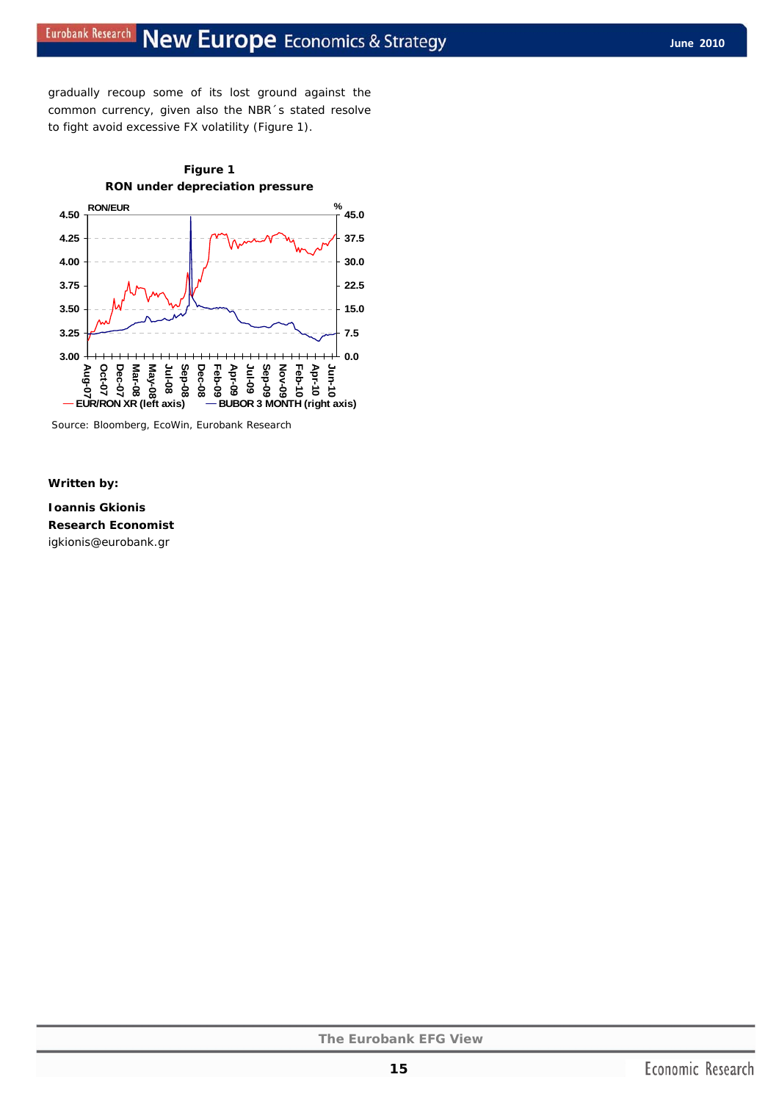gradually recoup some of its lost ground against the common currency, given also the NBR´s stated resolve to fight avoid excessive FX volatility (Figure 1).



Source: Bloomberg, EcoWin, Eurobank Research

#### *Written by:*

**Ioannis Gkionis Research Economist**  igkionis@eurobank.gr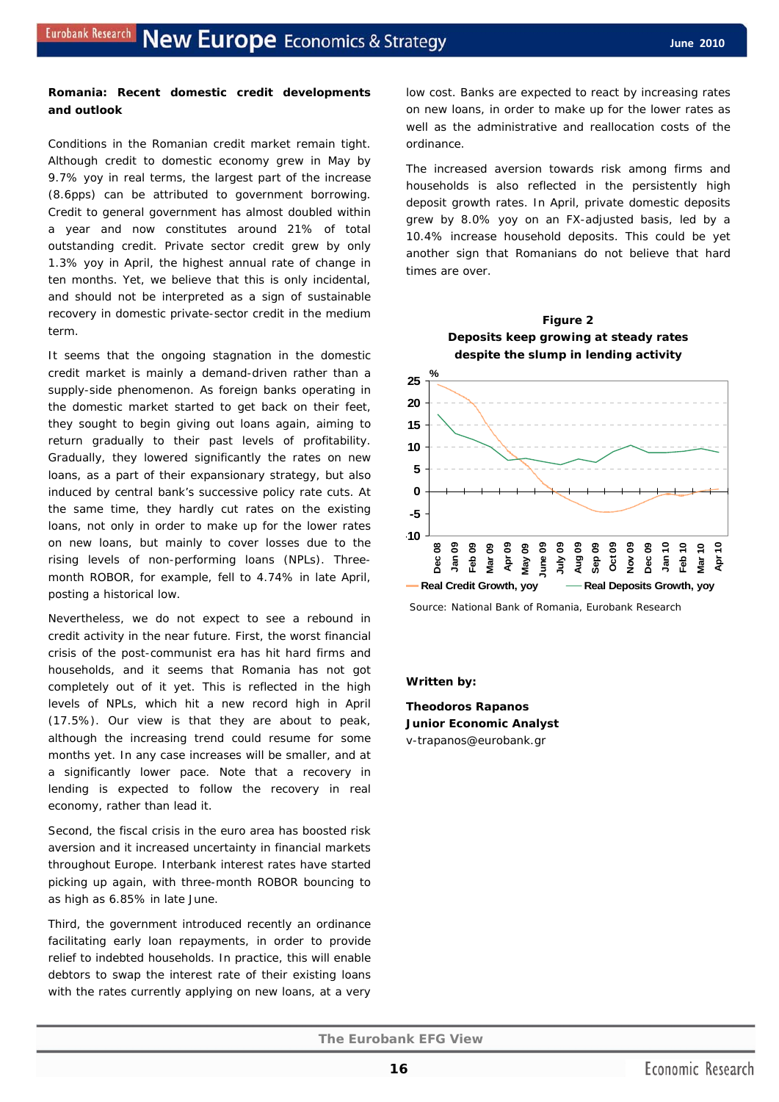## **Romania: Recent domestic credit developments and outlook**

Conditions in the Romanian credit market remain tight. Although credit to domestic economy grew in May by 9.7% yoy in real terms, the largest part of the increase (8.6pps) can be attributed to government borrowing. Credit to general government has almost doubled within a year and now constitutes around 21% of total outstanding credit. Private sector credit grew by only 1.3% yoy in April, the highest annual rate of change in ten months. Yet, we believe that this is only incidental, and should not be interpreted as a sign of sustainable recovery in domestic private-sector credit in the medium term.

It seems that the ongoing stagnation in the domestic credit market is mainly a demand-driven rather than a supply-side phenomenon. As foreign banks operating in the domestic market started to get back on their feet, they sought to begin giving out loans again, aiming to return gradually to their past levels of profitability. Gradually, they lowered significantly the rates on new loans, as a part of their expansionary strategy, but also induced by central bank's successive policy rate cuts. At the same time, they hardly cut rates on the existing loans, not only in order to make up for the lower rates on new loans, but mainly to cover losses due to the rising levels of non-performing loans (NPLs). Threemonth ROBOR, for example, fell to 4.74% in late April, posting a historical low.

Nevertheless, we do not expect to see a rebound in credit activity in the near future. First, the worst financial crisis of the post-communist era has hit hard firms and households, and it seems that Romania has not got completely out of it yet. This is reflected in the high levels of NPLs, which hit a new record high in April (17.5%). Our view is that they are about to peak, although the increasing trend could resume for some months yet. In any case increases will be smaller, and at a significantly lower pace. Note that a recovery in lending is expected to follow the recovery in real economy, rather than lead it.

Second, the fiscal crisis in the euro area has boosted risk aversion and it increased uncertainty in financial markets throughout Europe. Interbank interest rates have started picking up again, with three-month ROBOR bouncing to as high as 6.85% in late June.

Third, the government introduced recently an ordinance facilitating early loan repayments, in order to provide relief to indebted households. In practice, this will enable debtors to swap the interest rate of their existing loans with the rates currently applying on new loans, at a very low cost. Banks are expected to react by increasing rates on new loans, in order to make up for the lower rates as well as the administrative and reallocation costs of the ordinance.

The increased aversion towards risk among firms and households is also reflected in the persistently high deposit growth rates. In April, private domestic deposits grew by 8.0% yoy on an FX-adjusted basis, led by a 10.4% increase household deposits. This could be yet another sign that Romanians do not believe that hard times are over.





Source: National Bank of Romania, Eurobank Research

#### *Written by:*

**Theodoros Rapanos Junior Economic Analyst**  v-trapanos@eurobank.gr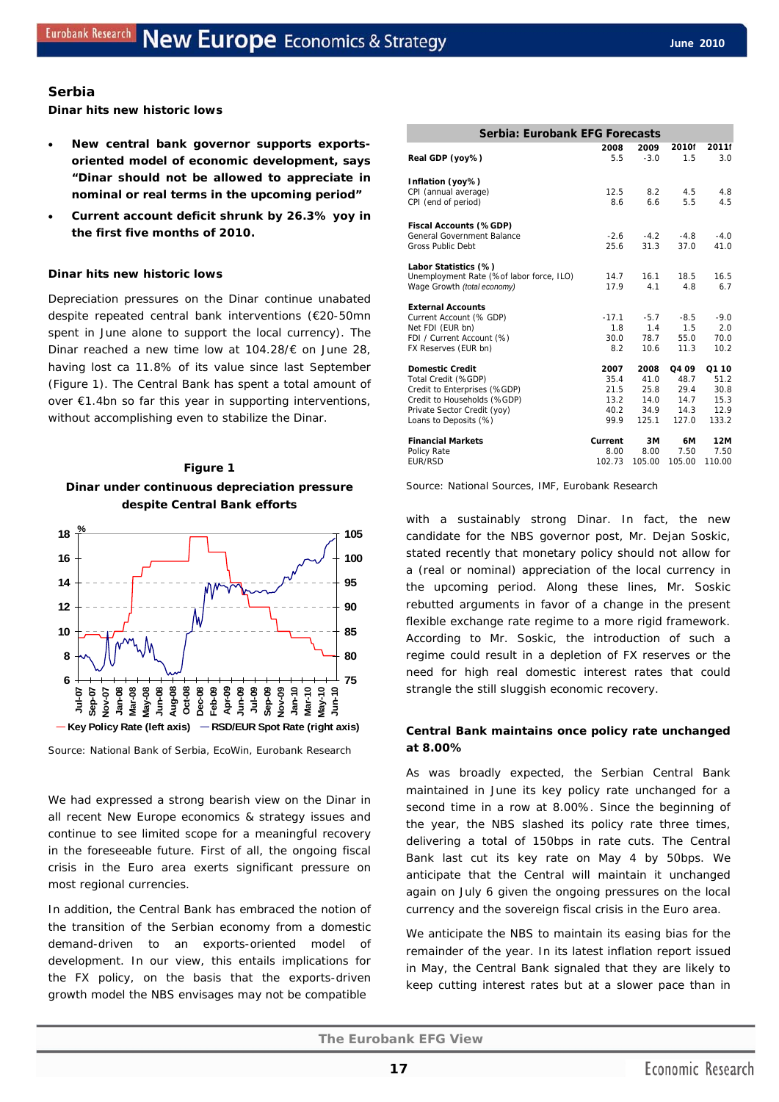#### **Serbia**

**Dinar hits new historic lows** 

- **New central bank governor supports exportsoriented model of economic development, says "Dinar should not be allowed to appreciate in nominal or real terms in the upcoming period"**
- **Current account deficit shrunk by 26.3% yoy in the first five months of 2010.**

#### **Dinar hits new historic lows**

Depreciation pressures on the Dinar continue unabated despite repeated central bank interventions (€20-50mn spent in June alone to support the local currency). The Dinar reached a new time low at 104.28/€ on June 28, having lost ca 11.8% of its value since last September (Figure 1). The Central Bank has spent a total amount of over €1.4bn so far this year in supporting interventions, without accomplishing even to stabilize the Dinar.





Source: National Bank of Serbia, EcoWin, Eurobank Research

We had expressed a strong bearish view on the Dinar in all recent *New Europe economics & strategy* issues and continue to see limited scope for a meaningful recovery in the foreseeable future. First of all, the ongoing fiscal crisis in the Euro area exerts significant pressure on most regional currencies.

In addition, the Central Bank has embraced the notion of the transition of the Serbian economy from a domestic demand-driven to an exports-oriented model of development. In our view, this entails implications for the FX policy, on the basis that the exports-driven growth model the NBS envisages may not be compatible

| Serbia: Eurobank EFG Forecasts           |         |        |        |        |  |  |  |  |  |
|------------------------------------------|---------|--------|--------|--------|--|--|--|--|--|
|                                          | 2008    | 2009   | 2010f  | 2011f  |  |  |  |  |  |
| Real GDP (yoy%)                          | 5.5     | $-3.0$ | 1.5    | 3.0    |  |  |  |  |  |
| Inflation (yoy%)                         |         |        |        |        |  |  |  |  |  |
| CPI (annual average)                     | 12.5    | 8.2    | 4.5    | 4.8    |  |  |  |  |  |
| CPI (end of period)                      | 8.6     | 6.6    | 5.5    | 4.5    |  |  |  |  |  |
| Fiscal Accounts (%GDP)                   |         |        |        |        |  |  |  |  |  |
| General Government Balance               | $-2.6$  | $-4.2$ | $-4.8$ | $-4.0$ |  |  |  |  |  |
| <b>Gross Public Debt</b>                 | 25.6    | 31.3   | 37.0   | 41.0   |  |  |  |  |  |
| Labor Statistics (%)                     |         |        |        |        |  |  |  |  |  |
| Unemployment Rate (%of labor force, ILO) | 14.7    | 16.1   | 18.5   | 16.5   |  |  |  |  |  |
| Wage Growth (total economy)              | 17.9    | 4.1    | 4.8    | 6.7    |  |  |  |  |  |
| <b>External Accounts</b>                 |         |        |        |        |  |  |  |  |  |
| Current Account (% GDP)                  | $-17.1$ | $-5.7$ | $-8.5$ | $-9.0$ |  |  |  |  |  |
| Net FDI (EUR bn)                         | 1.8     | 1.4    | 1.5    | 2.0    |  |  |  |  |  |
| FDI / Current Account (%)                | 30.0    | 78.7   | 55.0   | 70.0   |  |  |  |  |  |
| FX Reserves (EUR bn)                     | 8.2     | 10.6   | 11.3   | 10.2   |  |  |  |  |  |
| <b>Domestic Credit</b>                   | 2007    | 2008   | Q4 09  | Q1 10  |  |  |  |  |  |
| Total Credit (%GDP)                      | 35.4    | 41.0   | 48.7   | 51.2   |  |  |  |  |  |
| Credit to Enterprises (%GDP)             | 21.5    | 25.8   | 29.4   | 30.8   |  |  |  |  |  |
| Credit to Households (%GDP)              | 13.2    | 14.0   | 14.7   | 15.3   |  |  |  |  |  |
| Private Sector Credit (yoy)              | 40.2    | 34.9   | 14.3   | 12.9   |  |  |  |  |  |
| Loans to Deposits (%)                    | 99.9    | 125.1  | 127.0  | 133.2  |  |  |  |  |  |
| <b>Financial Markets</b>                 | Current | 3M     | 6M     | 12M    |  |  |  |  |  |
| Policy Rate                              | 8.00    | 8.00   | 7.50   | 7.50   |  |  |  |  |  |
| <b>EUR/RSD</b>                           | 102.73  | 105.00 | 105.00 | 110.00 |  |  |  |  |  |

Source: National Sources, IMF, Eurobank Research

with a sustainably strong Dinar. In fact, the new candidate for the NBS governor post, Mr. Dejan Soskic, stated recently that monetary policy should not allow for a (real or nominal) appreciation of the local currency in the upcoming period. Along these lines, Mr. Soskic rebutted arguments in favor of a change in the present flexible exchange rate regime to a more rigid framework. According to Mr. Soskic, the introduction of such a regime could result in a depletion of FX reserves or the need for high real domestic interest rates that could strangle the still sluggish economic recovery.

## **Central Bank maintains once policy rate unchanged at 8.00%**

As was broadly expected, the Serbian Central Bank maintained in June its key policy rate unchanged for a second time in a row at 8.00%. Since the beginning of the year, the NBS slashed its policy rate three times, delivering a total of 150bps in rate cuts. The Central Bank last cut its key rate on May 4 by 50bps. We anticipate that the Central will maintain it unchanged again on July 6 given the ongoing pressures on the local currency and the sovereign fiscal crisis in the Euro area.

We anticipate the NBS to maintain its easing bias for the remainder of the year. In its latest inflation report issued in May, the Central Bank signaled that they are likely to keep cutting interest rates but at a slower pace than in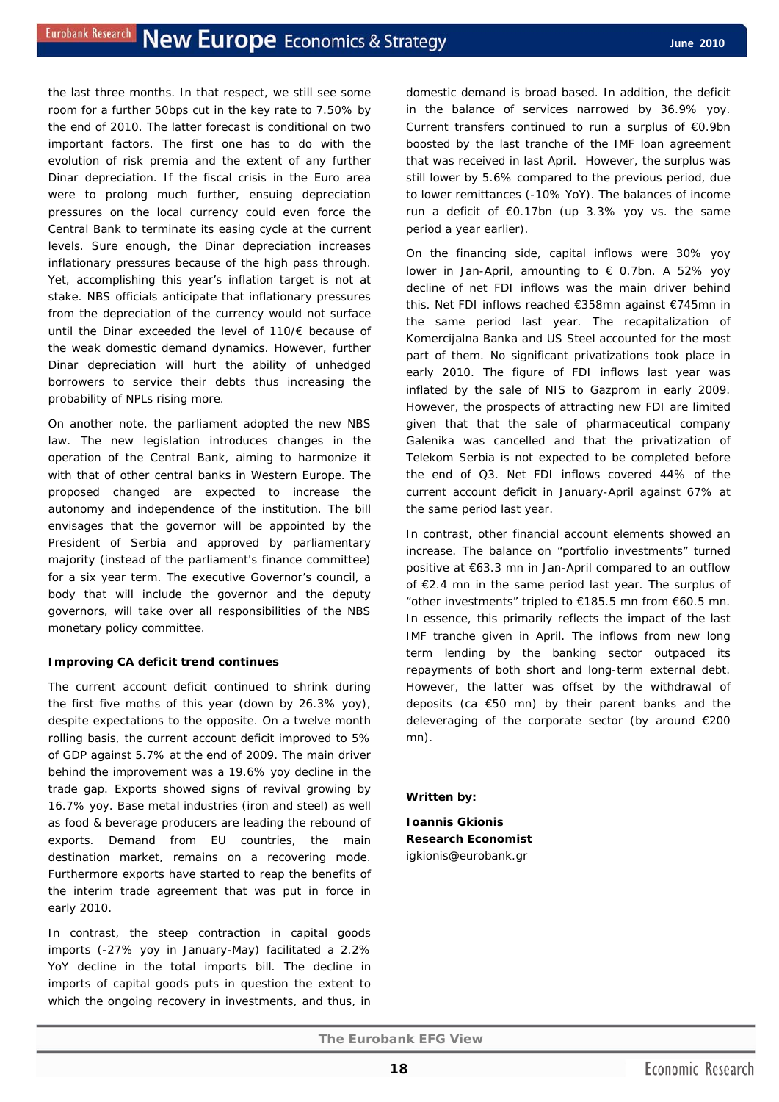the last three months. In that respect, we still see some room for a further 50bps cut in the key rate to 7.50% by the end of 2010. The latter forecast is conditional on two important factors. The first one has to do with the evolution of risk premia and the extent of any further Dinar depreciation. If the fiscal crisis in the Euro area were to prolong much further, ensuing depreciation pressures on the local currency could even force the Central Bank to terminate its easing cycle at the current levels. Sure enough, the Dinar depreciation increases inflationary pressures because of the high pass through. Yet, accomplishing this year's inflation target is not at stake. NBS officials anticipate that inflationary pressures from the depreciation of the currency would not surface until the Dinar exceeded the level of 110/€ because of the weak domestic demand dynamics. However, further Dinar depreciation will hurt the ability of unhedged borrowers to service their debts thus increasing the probability of NPLs rising more.

On another note, the parliament adopted the new NBS law. The new legislation introduces changes in the operation of the Central Bank, aiming to harmonize it with that of other central banks in Western Europe. The proposed changed are expected to increase the autonomy and independence of the institution. The bill envisages that the governor will be appointed by the President of Serbia and approved by parliamentary majority (instead of the parliament's finance committee) for a six year term. The executive Governor's council, a body that will include the governor and the deputy governors, will take over all responsibilities of the NBS monetary policy committee.

#### **Improving CA deficit trend continues**

The current account deficit continued to shrink during the first five moths of this year (down by 26.3% yoy), despite expectations to the opposite. On a twelve month rolling basis, the current account deficit improved to 5% of GDP against 5.7% at the end of 2009. The main driver behind the improvement was a 19.6% yoy decline in the trade gap. Exports showed signs of revival growing by 16.7% yoy. Base metal industries (iron and steel) as well as food & beverage producers are leading the rebound of exports. Demand from EU countries, the main destination market, remains on a recovering mode. Furthermore exports have started to reap the benefits of the interim trade agreement that was put in force in early 2010.

In contrast, the steep contraction in capital goods imports (-27% yoy in January-May) facilitated a 2.2% YoY decline in the total imports bill. The decline in imports of capital goods puts in question the extent to which the ongoing recovery in investments, and thus, in domestic demand is broad based. In addition, the deficit in the balance of services narrowed by 36.9% yoy. Current transfers continued to run a surplus of €0.9bn boosted by the last tranche of the IMF loan agreement that was received in last April. However, the surplus was still lower by 5.6% compared to the previous period, due to lower remittances (-10% YoY). The balances of income run a deficit of  $€0.17$ bn (up 3.3% yoy vs. the same period a year earlier).

On the financing side, capital inflows were 30% yoy lower in Jan-April, amounting to  $\epsilon$  0.7bn. A 52% yoy decline of net FDI inflows was the main driver behind this. Net FDI inflows reached €358mn against €745mn in the same period last year. The recapitalization of Komercijalna Banka and US Steel accounted for the most part of them. No significant privatizations took place in early 2010. The figure of FDI inflows last year was inflated by the sale of NIS to Gazprom in early 2009. However, the prospects of attracting new FDI are limited given that that the sale of pharmaceutical company Galenika was cancelled and that the privatization of [Telekom Serbia](http://site.securities.com.ezp-prod1.hul.harvard.edu/ci/cp.html?pc=YU&cmpy=1556572) is not expected to be completed before the end of Q3. Net FDI inflows covered 44% of the current account deficit in January-April against 67% at the same period last year.

In contrast, other financial account elements showed an increase. The balance on "portfolio investments" turned positive at €63.3 mn in Jan-April compared to an outflow of €2.4 mn in the same period last year. The surplus of "other investments" tripled to €185.5 mn from €60.5 mn. In essence, this primarily reflects the impact of the last IMF tranche given in April. The inflows from new long term lending by the banking sector outpaced its repayments of both short and long-term external debt. However, the latter was offset by the withdrawal of deposits (ca €50 mn) by their parent banks and the deleveraging of the corporate sector (by around €200 mn).

#### *Written by:*

**Ioannis Gkionis Research Economist**  igkionis@eurobank.gr

**18**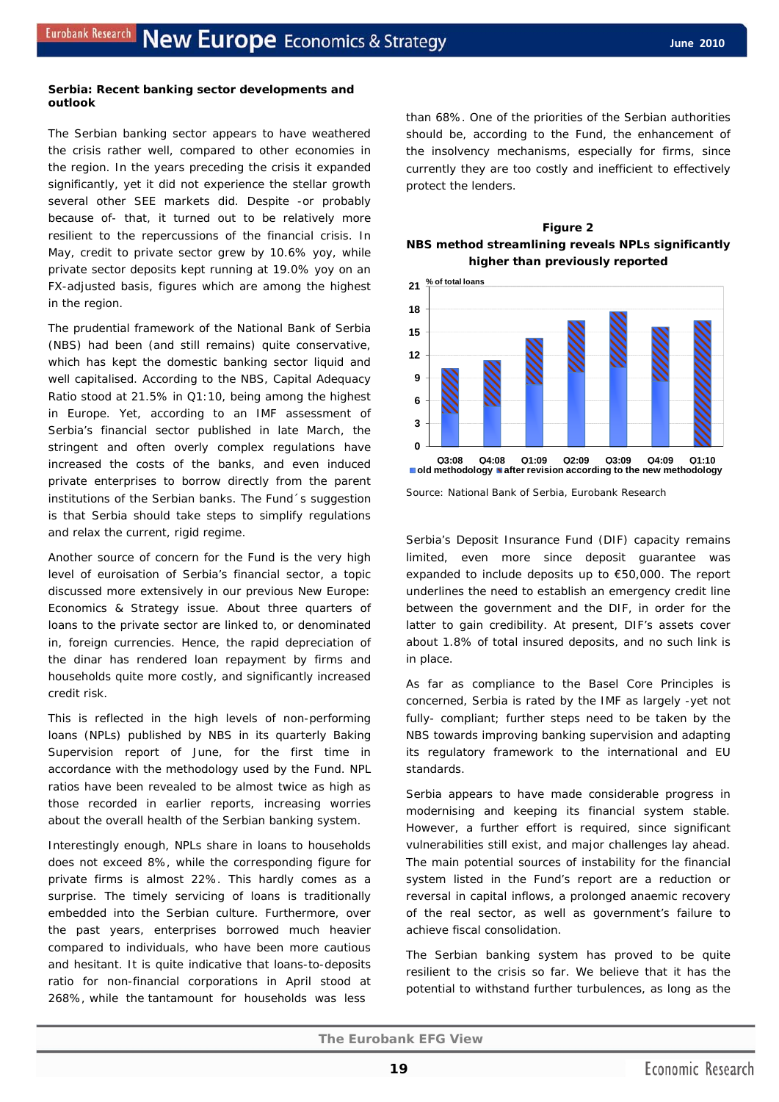#### **Serbia: Recent banking sector developments and outlook**

The Serbian banking sector appears to have weathered the crisis rather well, compared to other economies in the region. In the years preceding the crisis it expanded significantly, yet it did not experience the stellar growth several other SEE markets did. Despite -or probably because of- that, it turned out to be relatively more resilient to the repercussions of the financial crisis. In May, credit to private sector grew by 10.6% yoy, while private sector deposits kept running at 19.0% yoy on an FX-adjusted basis, figures which are among the highest in the region.

The prudential framework of the National Bank of Serbia (NBS) had been (and still remains) quite conservative, which has kept the domestic banking sector liquid and well capitalised. According to the NBS, Capital Adequacy Ratio stood at 21.5% in Q1:10, being among the highest in Europe. Yet, according to an IMF assessment of Serbia's financial sector published in late March, the stringent and often overly complex regulations have increased the costs of the banks, and even induced private enterprises to borrow directly from the parent institutions of the Serbian banks. The Fund´s suggestion is that Serbia should take steps to simplify regulations and relax the current, rigid regime.

Another source of concern for the Fund is the very high level of euroisation of Serbia's financial sector, a topic discussed more extensively in our previous *New Europe: Economics & Strategy* issue. About three quarters of loans to the private sector are linked to, or denominated in, foreign currencies. Hence, the rapid depreciation of the dinar has rendered loan repayment by firms and households quite more costly, and significantly increased credit risk.

This is reflected in the high levels of non-performing loans (NPLs) published by NBS in its quarterly Baking Supervision report of June, for the first time in accordance with the methodology used by the Fund. NPL ratios have been revealed to be almost twice as high as those recorded in earlier reports, increasing worries about the overall health of the Serbian banking system.

Interestingly enough, NPLs share in loans to households does not exceed 8%, while the corresponding figure for private firms is almost 22%. This hardly comes as a surprise. The timely servicing of loans is traditionally embedded into the Serbian culture. Furthermore, over the past years, enterprises borrowed much heavier compared to individuals, who have been more cautious and hesitant. It is quite indicative that loans-to-deposits ratio for non-financial corporations in April stood at 268%, while the tantamount for households was less

than 68%. One of the priorities of the Serbian authorities should be, according to the Fund, the enhancement of the insolvency mechanisms, especially for firms, since currently they are too costly and inefficient to effectively protect the lenders.





Source: National Bank of Serbia, Eurobank Research

Serbia's Deposit Insurance Fund (DIF) capacity remains limited, even more since deposit guarantee was expanded to include deposits up to €50,000. The report underlines the need to establish an emergency credit line between the government and the DIF, in order for the latter to gain credibility. At present, DIF's assets cover about 1.8% of total insured deposits, and no such link is in place.

As far as compliance to the Basel Core Principles is concerned, Serbia is rated by the IMF as largely -yet not fully- compliant; further steps need to be taken by the NBS towards improving banking supervision and adapting its regulatory framework to the international and EU standards.

Serbia appears to have made considerable progress in modernising and keeping its financial system stable. However, a further effort is required, since significant vulnerabilities still exist, and major challenges lay ahead. The main potential sources of instability for the financial system listed in the Fund's report are a reduction or reversal in capital inflows, a prolonged anaemic recovery of the real sector, as well as government's failure to achieve fiscal consolidation.

The Serbian banking system has proved to be quite resilient to the crisis so far. We believe that it has the potential to withstand further turbulences, as long as the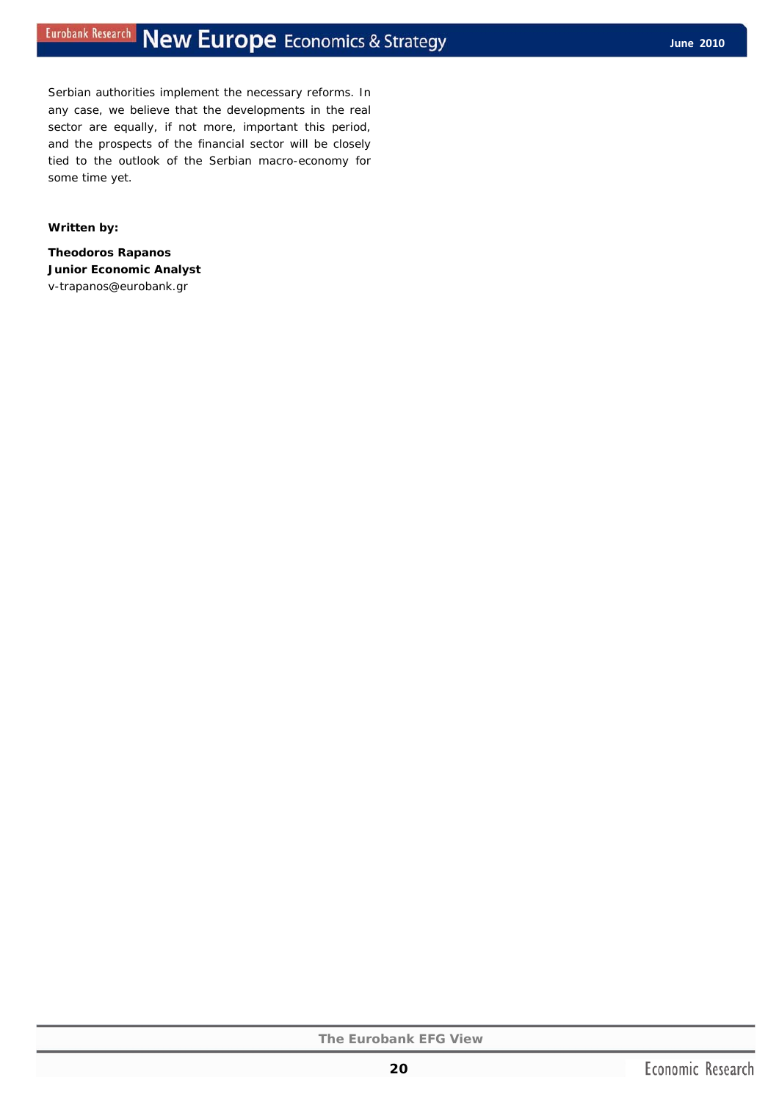Serbian authorities implement the necessary reforms. In any case, we believe that the developments in the real sector are equally, if not more, important this period, and the prospects of the financial sector will be closely tied to the outlook of the Serbian macro-economy for some time yet.

#### *Written by:*

**Theodoros Rapanos Junior Economic Analyst**  v-trapanos@eurobank.gr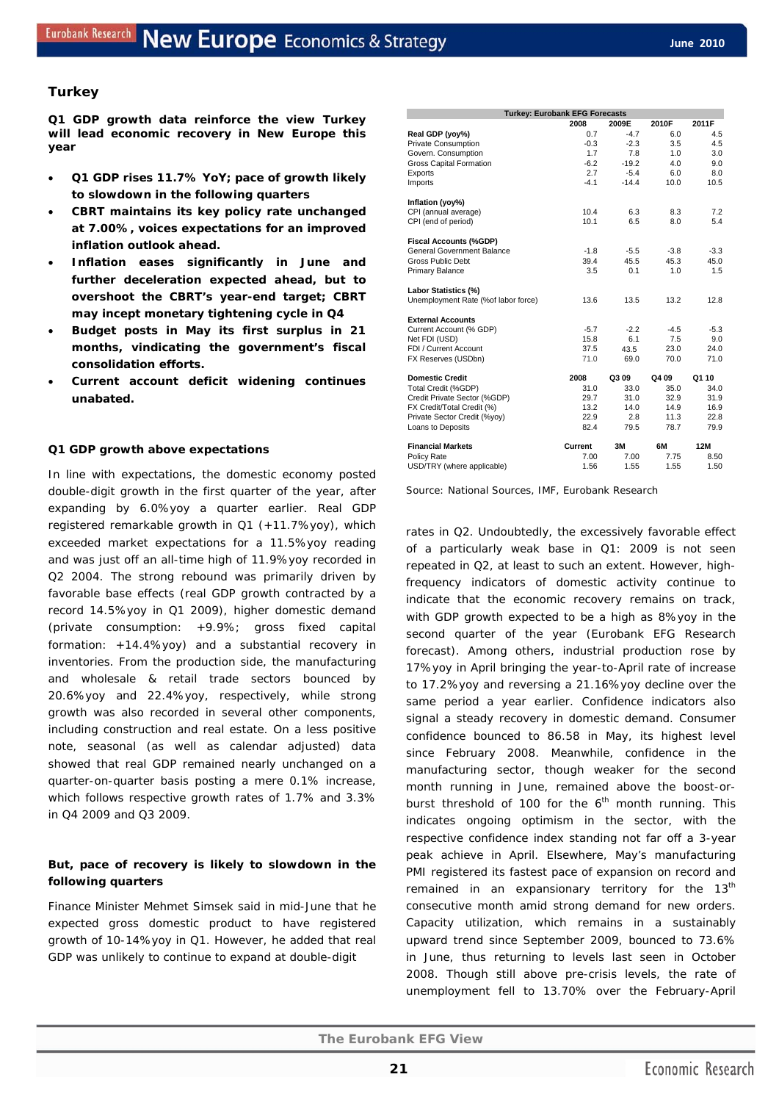## **Turkey**

**Q1 GDP growth data reinforce the view Turkey will lead economic recovery in New Europe this year** 

- **Q1 GDP rises 11.7% YoY; pace of growth likely to slowdown in the following quarters**
- **CBRT maintains its key policy rate unchanged at 7.00%, voices expectations for an improved inflation outlook ahead.**
- **Inflation eases significantly in June and further deceleration expected ahead, but to overshoot the CBRT's year-end target; CBRT may incept monetary tightening cycle in Q4**
- **Budget posts in May its first surplus in 21 months, vindicating the government's fiscal consolidation efforts.**
- **Current account deficit widening continues unabated.**

#### **Q1 GDP growth above expectations**

In line with expectations, the domestic economy posted double-digit growth in the first quarter of the year, after expanding by 6.0%yoy a quarter earlier. Real GDP registered remarkable growth in Q1 (+11.7%yoy), which exceeded market expectations for a 11.5%yoy reading and was just off an all-time high of 11.9%yoy recorded in Q2 2004. The strong rebound was primarily driven by favorable base effects *(real GDP growth contracted by a record 14.5%yoy in Q1 2009)*, higher domestic demand (private consumption: +9.9%; gross fixed capital formation: +14.4%yoy) and a substantial recovery in inventories. From the production side, the manufacturing and wholesale & retail trade sectors bounced by 20.6%yoy and 22.4%yoy, respectively, while strong growth was also recorded in several other components, including construction and real estate. On a less positive note, seasonal (as well as calendar adjusted) data showed that real GDP remained nearly unchanged on a quarter-on-quarter basis posting a mere 0.1% increase, which follows respective growth rates of 1.7% and 3.3% in Q4 2009 and Q3 2009.

## **But, pace of recovery is likely to slowdown in the following quarters**

Finance Minister Mehmet Simsek said in mid-June that he expected gross domestic product to have registered growth of 10-14%yoy in Q1. However, he added that real GDP was unlikely to continue to expand at double-digit

| <b>Turkey: Eurobank EFG Forecasts</b>    |         |         |        |        |
|------------------------------------------|---------|---------|--------|--------|
|                                          | 2008    | 2009E   | 2010F  | 2011F  |
| Real GDP (yoy%)                          | 0.7     | $-4.7$  | 6.0    | 4.5    |
| Private Consumption                      | $-0.3$  | $-2.3$  | 3.5    | 4.5    |
| Govern. Consumption                      | 1.7     | 7.8     | 1.0    | 3.0    |
| Gross Capital Formation                  | $-6.2$  | $-19.2$ | 4.0    | 9.0    |
| Exports                                  | 2.7     | $-5.4$  | 6.0    | 8.0    |
| Imports                                  | $-4.1$  | $-14.4$ | 10.0   | 10.5   |
| Inflation (yoy%)                         |         |         |        |        |
| CPI (annual average)                     | 10.4    | 6.3     | 8.3    | 7.2    |
| CPI (end of period)                      | 10.1    | 6.5     | 8.0    | 5.4    |
| <b>Fiscal Accounts (%GDP)</b>            |         |         |        |        |
| General Government Balance               | $-1.8$  | $-5.5$  | $-3.8$ | $-3.3$ |
| Gross Public Debt                        | 39.4    | 45.5    | 45.3   | 45.0   |
| <b>Primary Balance</b>                   | 3.5     | 0.1     | 1.0    | 1.5    |
| Labor Statistics (%)                     |         |         |        |        |
| Unemployment Rate (%of labor force)      | 13.6    | 13.5    | 13.2   | 12.8   |
|                                          |         |         |        |        |
| <b>External Accounts</b>                 | $-5.7$  | $-2.2$  | $-4.5$ | $-5.3$ |
| Current Account (% GDP)<br>Net FDI (USD) | 15.8    | 6.1     | 7.5    | 9.0    |
| FDI / Current Account                    | 37.5    | 43.5    | 23.0   | 24.0   |
| FX Reserves (USDbn)                      | 71.0    | 69.0    | 70.0   | 71.0   |
|                                          |         |         |        |        |
| <b>Domestic Credit</b>                   | 2008    | Q309    | Q409   | Q1 10  |
| Total Credit (%GDP)                      | 31.0    | 33.0    | 35.0   | 34.0   |
| Credit Private Sector (%GDP)             | 29.7    | 31.0    | 32.9   | 31.9   |
| FX Credit/Total Credit (%)               | 13.2    | 14.0    | 14.9   | 16.9   |
| Private Sector Credit (%yoy)             | 22.9    | 2.8     | 11.3   | 22.8   |
| Loans to Deposits                        | 82.4    | 79.5    | 78.7   | 79.9   |
| <b>Financial Markets</b>                 | Current | 3M      | 6M     | 12M    |
| Policy Rate                              | 7.00    | 7.00    | 7.75   | 8.50   |
| USD/TRY (where applicable)               | 1.56    | 1.55    | 1.55   | 1.50   |

Source: National Sources, IMF, Eurobank Research

rates in Q2. Undoubtedly, the excessively favorable effect of a particularly weak base in Q1: 2009 is not seen repeated in Q2, at least to such an extent. However, highfrequency indicators of domestic activity continue to indicate that the economic recovery remains on track, with GDP growth expected to be a high as 8%yoy in the second quarter of the year *(Eurobank EFG Research forecast).* Among others, industrial production rose by 17%yoy in April bringing the year-to-April rate of increase to 17.2%yoy and reversing a 21.16%yoy decline over the same period a year earlier. Confidence indicators also signal a steady recovery in domestic demand. Consumer confidence bounced to 86.58 in May, its highest level since February 2008. Meanwhile, confidence in the manufacturing sector, though weaker for the second month running in June, remained above the boost-orburst threshold of 100 for the  $6<sup>th</sup>$  month running. This indicates ongoing optimism in the sector, with the respective confidence index standing not far off a 3-year peak achieve in April. Elsewhere, May's manufacturing PMI registered its fastest pace of expansion on record and remained in an expansionary territory for the  $13<sup>th</sup>$ consecutive month amid strong demand for new orders. Capacity utilization, which remains in a sustainably upward trend since September 2009, bounced to 73.6% in June, thus returning to levels last seen in October 2008. Though still above pre-crisis levels, the rate of unemployment fell to 13.70% over the February-April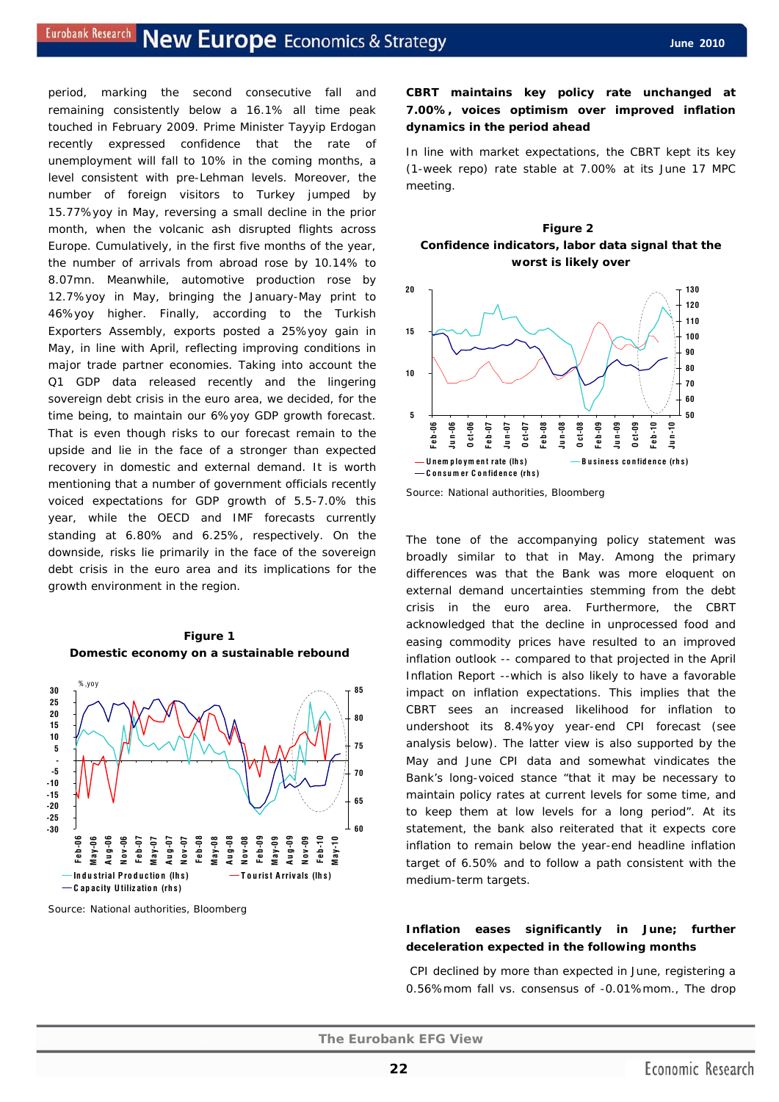period, marking the second consecutive fall and remaining consistently below a 16.1% all time peak touched in February 2009. Prime Minister Tayyip Erdogan recently expressed confidence that the rate of unemployment will fall to 10% in the coming months, a level consistent with pre-Lehman levels. Moreover, the number of foreign visitors to Turkey jumped by 15.77%yoy in May, reversing a small decline in the prior month, when the volcanic ash disrupted flights across Europe. Cumulatively, in the first five months of the year, the number of arrivals from abroad rose by 10.14% to 8.07mn. Meanwhile, automotive production rose by 12.7%yoy in May, bringing the January-May print to 46%yoy higher. Finally, according to the Turkish Exporters Assembly, exports posted a 25%yoy gain in May, in line with April, reflecting improving conditions in major trade partner economies. Taking into account the Q1 GDP data released recently and the lingering sovereign debt crisis in the euro area, we decided, for the time being, to maintain our 6%yoy GDP growth forecast. That is even though risks to our forecast remain to the upside and lie in the face of a stronger than expected recovery in domestic and external demand. It is worth mentioning that a number of government officials recently voiced expectations for GDP growth of 5.5-7.0% this year, while the OECD and IMF forecasts currently standing at 6.80% and 6.25%, respectively. On the downside, risks lie primarily in the face of the sovereign debt crisis in the euro area and its implications for the growth environment in the region.





Source: National authorities, Bloomberg

## **CBRT maintains key policy rate unchanged at 7.00%, voices optimism over improved inflation dynamics in the period ahead**

In line with market expectations, the CBRT kept its key (1-week repo) rate stable at 7.00% at its June 17 MPC meeting.





Source: National authorities, Bloomberg

The tone of the accompanying policy statement was broadly similar to that in May. Among the primary differences was that the Bank was more eloquent on external demand uncertainties stemming from the debt crisis in the euro area. Furthermore, the CBRT acknowledged that the decline in unprocessed food and easing commodity prices have resulted to an improved inflation outlook -- compared to that projected in the April Inflation Report --which is also likely to have a favorable impact on inflation expectations. This implies that the CBRT sees an increased likelihood for inflation to undershoot its 8.4%yoy year-end CPI forecast (see analysis below). The latter view is also supported by the May and June CPI data and somewhat vindicates the Bank's long-voiced stance "that it may be necessary to maintain policy rates at current levels for some time, and to keep them at low levels for a long period". At its statement, the bank also reiterated that it expects core inflation to remain below the year-end headline inflation target of 6.50% and to follow a path consistent with the medium-term targets.

#### **Inflation eases significantly in June; further deceleration expected in the following months**

CPI declined by more than expected in June, registering a 0.56%mom fall vs. consensus of -0.01%mom., The drop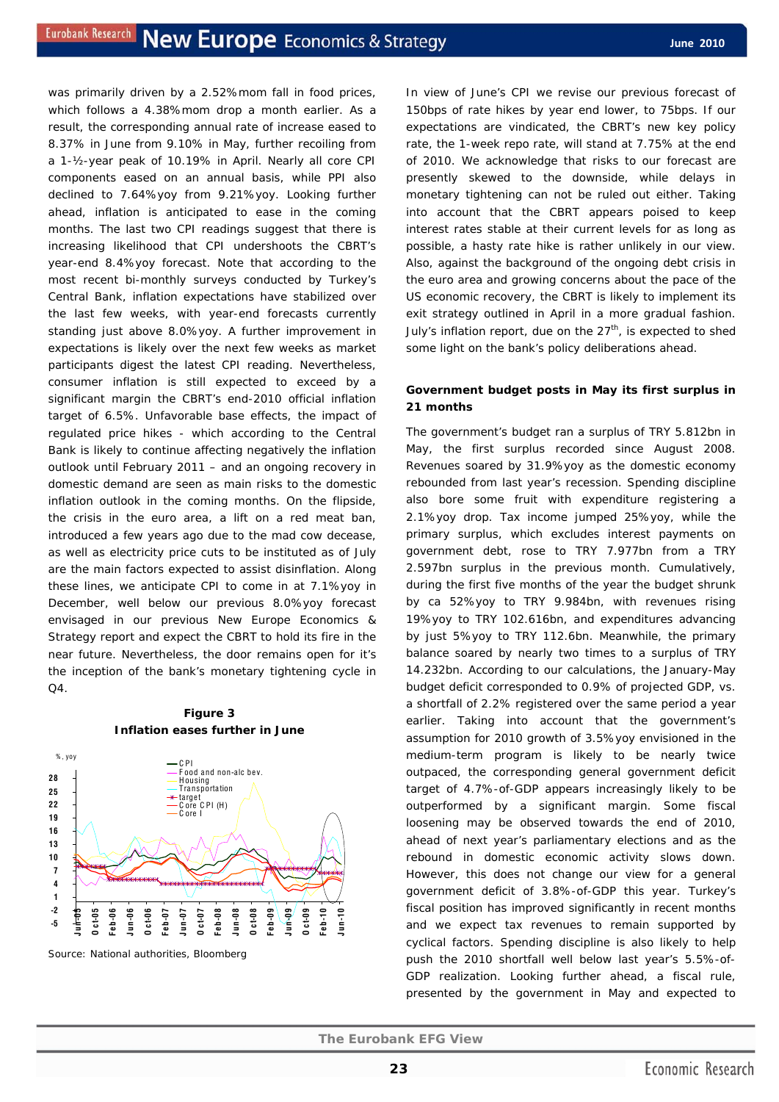was primarily driven by a 2.52%mom fall in food prices, which follows a 4.38%mom drop a month earlier. As a result, the corresponding annual rate of increase eased to 8.37% in June from 9.10% in May, further recoiling from a 1-½-year peak of 10.19% in April. Nearly all core CPI components eased on an annual basis, while PPI also declined to 7.64%yoy from 9.21%yoy. Looking further ahead, inflation is anticipated to ease in the coming months. The last two CPI readings suggest that there is increasing likelihood that CPI undershoots the CBRT's year-end 8.4%yoy forecast. Note that according to the most recent bi-monthly surveys conducted by Turkey's Central Bank, inflation expectations have stabilized over the last few weeks, with year-end forecasts currently standing just above 8.0%yoy. A further improvement in expectations is likely over the next few weeks as market participants digest the latest CPI reading. Nevertheless, consumer inflation is still expected to exceed by a significant margin the CBRT's end-2010 official inflation target of 6.5%. Unfavorable base effects, the impact of regulated price hikes - which according to the Central Bank is likely to continue affecting negatively the inflation outlook until February 2011 – and an ongoing recovery in domestic demand are seen as main risks to the domestic inflation outlook in the coming months. On the flipside, the crisis in the euro area, a lift on a red meat ban, introduced a few years ago due to the mad cow decease, as well as electricity price cuts to be instituted as of July are the main factors expected to assist disinflation. Along these lines, we anticipate CPI to come in at 7.1%yoy in December, well below our previous 8.0%yoy forecast envisaged in our previous New Europe Economics & Strategy report and expect the CBRT to hold its fire in the near future. Nevertheless, the door remains open for it's the inception of the bank's monetary tightening cycle in  $O<sub>4</sub>$ .

## **Figure 3 Inflation eases further in June**



Source: National authorities, Bloomberg

In view of June's CPI we revise our previous forecast of 150bps of rate hikes by year end lower, to 75bps. If our expectations are vindicated, the CBRT's new key policy rate, the 1-week repo rate, will stand at 7.75% at the end of 2010. We acknowledge that risks to our forecast are presently skewed to the downside, while delays in monetary tightening can not be ruled out either. Taking into account that the CBRT appears poised to keep interest rates stable at their current levels for as long as possible, a hasty rate hike is rather unlikely in our view. Also, against the background of the ongoing debt crisis in the euro area and growing concerns about the pace of the US economic recovery, the CBRT is likely to implement its exit strategy outlined in April in a more gradual fashion. July's inflation report, due on the  $27<sup>th</sup>$ , is expected to shed some light on the bank's policy deliberations ahead.

## **Government budget posts in May its first surplus in 21 months**

The government's budget ran a surplus of TRY 5.812bn in May, the first surplus recorded since August 2008. Revenues soared by 31.9%yoy as the domestic economy rebounded from last year's recession. Spending discipline also bore some fruit with expenditure registering a 2.1%yoy drop. Tax income jumped 25%yoy, while the primary surplus, which excludes interest payments on government debt, rose to TRY 7.977bn from a TRY 2.597bn surplus in the previous month. Cumulatively, during the first five months of the year the budget shrunk by ca 52%yoy to TRY 9.984bn, with revenues rising 19%yoy to TRY 102.616bn, and expenditures advancing by just 5%yoy to TRY 112.6bn. Meanwhile, the primary balance soared by nearly two times to a surplus of TRY 14.232bn. According to our calculations, the January-May budget deficit corresponded to 0.9% of projected GDP, vs. a shortfall of 2.2% registered over the same period a year earlier. Taking into account that the government's assumption for 2010 growth of 3.5%yoy envisioned in the medium-term program is likely to be nearly twice outpaced, the corresponding general government deficit target of 4.7%-of-GDP appears increasingly likely to be outperformed by a significant margin. Some fiscal loosening may be observed towards the end of 2010, ahead of next year's parliamentary elections and as the rebound in domestic economic activity slows down. However, this does not change our view for a general government deficit of 3.8%-of-GDP this year. Turkey's fiscal position has improved significantly in recent months and we expect tax revenues to remain supported by cyclical factors. Spending discipline is also likely to help push the 2010 shortfall well below last year's 5.5%-of-GDP realization. Looking further ahead, a fiscal rule, presented by the government in May and expected to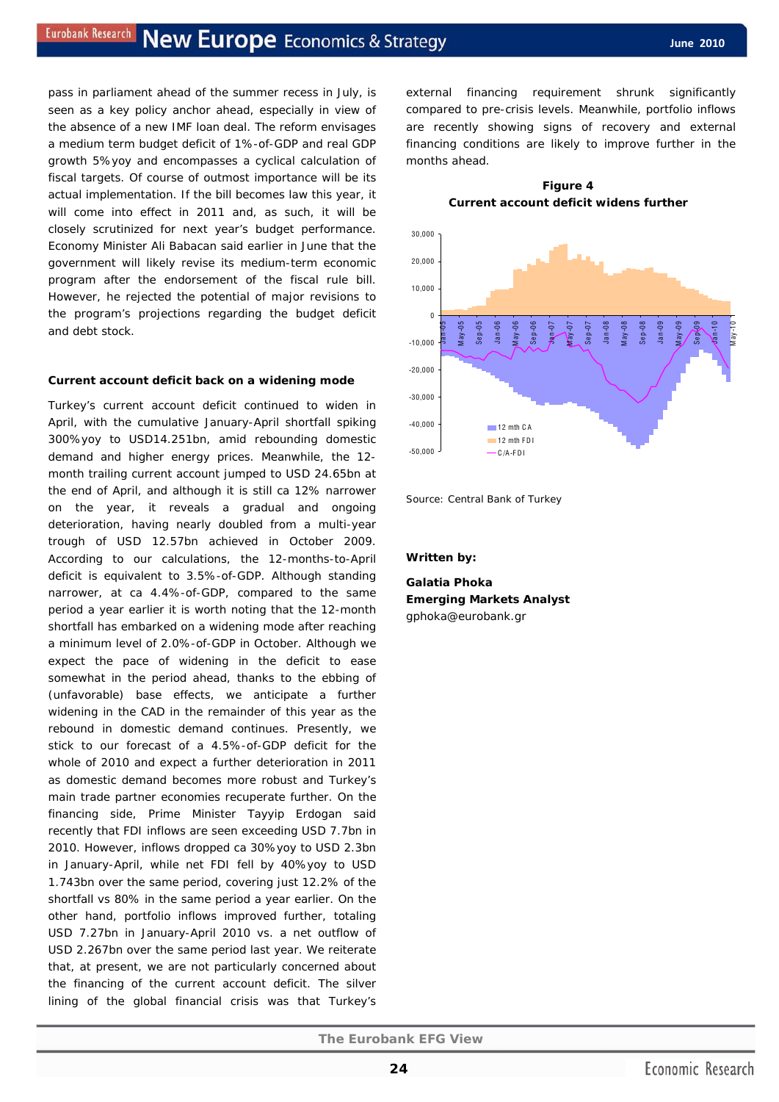pass in parliament ahead of the summer recess in July, is seen as a key policy anchor ahead, especially in view of the absence of a new IMF loan deal. The reform envisages a medium term budget deficit of 1%-of-GDP and real GDP growth 5%yoy and encompasses a cyclical calculation of fiscal targets. Of course of outmost importance will be its actual implementation. If the bill becomes law this year, it will come into effect in 2011 and, as such, it will be closely scrutinized for next year's budget performance. Economy Minister Ali Babacan said earlier in June that the government will likely revise its medium-term economic program after the endorsement of the fiscal rule bill. However, he rejected the potential of major revisions to the program's projections regarding the budget deficit and debt stock.

#### **Current account deficit back on a widening mode**

Turkey's current account deficit continued to widen in April, with the cumulative January-April shortfall spiking 300%yoy to USD14.251bn, amid rebounding domestic demand and higher energy prices. Meanwhile, the 12 month trailing current account jumped to USD 24.65bn at the end of April, and although it is still ca 12% narrower on the year, it reveals a gradual and ongoing deterioration, having nearly doubled from a multi-year trough of USD 12.57bn achieved in October 2009. According to our calculations, the 12-months-to-April deficit is equivalent to 3.5%-of-GDP. Although standing narrower, at ca 4.4%-of-GDP, compared to the same period a year earlier it is worth noting that the 12-month shortfall has embarked on a widening mode after reaching a minimum level of 2.0%-of-GDP in October. Although we expect the pace of widening in the deficit to ease somewhat in the period ahead, thanks to the ebbing of (unfavorable) base effects, we anticipate a further widening in the CAD in the remainder of this year as the rebound in domestic demand continues. Presently, we stick to our forecast of a 4.5%-of-GDP deficit for the whole of 2010 and expect a further deterioration in 2011 as domestic demand becomes more robust and Turkey's main trade partner economies recuperate further. On the financing side, Prime Minister Tayyip Erdogan said recently that FDI inflows are seen exceeding USD 7.7bn in 2010. However, inflows dropped ca 30%yoy to USD 2.3bn in January-April, while net FDI fell by 40%yoy to USD 1.743bn over the same period, covering just 12.2% of the shortfall vs 80% in the same period a year earlier. On the other hand, portfolio inflows improved further, totaling USD 7.27bn in January-April 2010 vs. a net outflow of USD 2.267bn over the same period last year. We reiterate that, at present, we are not particularly concerned about the financing of the current account deficit. The silver lining of the global financial crisis was that Turkey's external financing requirement shrunk significantly compared to pre-crisis levels. Meanwhile, portfolio inflows are recently showing signs of recovery and external financing conditions are likely to improve further in the months ahead.

**Figure 4** 



Source: Central Bank of Turkey

#### *Written by:*

**Galatia Phoka Emerging Markets Analyst**  gphoka@eurobank.gr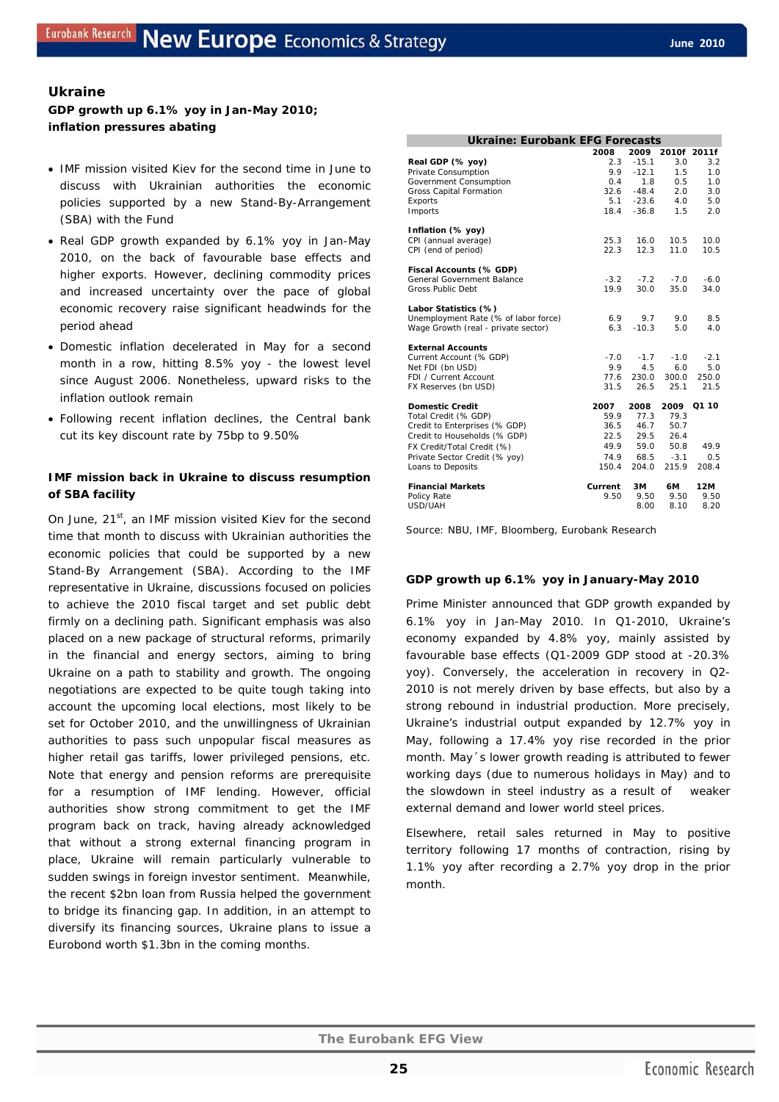## **Ukraine**

## **GDP growth up 6.1% yoy in Jan-May 2010; inflation pressures abating**

- IMF mission visited Kiev for the second time in June to discuss with Ukrainian authorities the economic policies supported by a new Stand-By-Arrangement (SBA) with the Fund
- Real GDP growth expanded by 6.1% yoy in Jan-May 2010, on the back of favourable base effects and higher exports. However, declining commodity prices and increased uncertainty over the pace of global economic recovery raise significant headwinds for the period ahead
- Domestic inflation decelerated in May for a second month in a row, hitting 8.5% yoy - the lowest level since August 2006. Nonetheless, upward risks to the inflation outlook remain
- Following recent inflation declines, the Central bank cut its key discount rate by 75bp to 9.50%

## **IMF mission back in Ukraine to discuss resumption of SBA facility**

On June, 21<sup>st</sup>, an IMF mission visited Kiev for the second time that month to discuss with Ukrainian authorities the economic policies that could be supported by a new Stand-By Arrangement (SBA). According to the IMF representative in Ukraine, discussions focused on policies to achieve the 2010 fiscal target and set public debt firmly on a declining path. Significant emphasis was also placed on a new package of structural reforms, primarily in the financial and energy sectors, aiming to bring Ukraine on a path to stability and growth. The ongoing negotiations are expected to be quite tough taking into account the upcoming local elections, most likely to be set for October 2010, and the unwillingness of Ukrainian authorities to pass such unpopular fiscal measures as higher retail gas tariffs, lower privileged pensions, etc. Note that energy and pension reforms are prerequisite for a resumption of IMF lending. However, official authorities show strong commitment to get the IMF program back on track, having already acknowledged that without a strong external financing program in place, Ukraine will remain particularly vulnerable to sudden swings in foreign investor sentiment. Meanwhile, the recent \$2bn loan from Russia helped the government to bridge its financing gap. In addition, in an attempt to diversify its financing sources, Ukraine plans to issue a Eurobond worth \$1.3bn in the coming months.

| <b>Ukraine: Eurobank EFG Forecasts</b>                                                                                                                        |                                                       |                                                        |                                                        |            |
|---------------------------------------------------------------------------------------------------------------------------------------------------------------|-------------------------------------------------------|--------------------------------------------------------|--------------------------------------------------------|------------|
|                                                                                                                                                               | 2008                                                  | 2009                                                   | 2010f 2011f                                            |            |
| Real GDP (% yoy)                                                                                                                                              | 2.3                                                   | $-15.1$                                                | 3.0                                                    | 3.2        |
| Private Consumption                                                                                                                                           | 9.9                                                   | $-12.1$                                                | 1.5                                                    | 1.0        |
| Government Consumption                                                                                                                                        | 0.4                                                   | 1.8                                                    | 0.5                                                    | 1.0        |
| <b>Gross Capital Formation</b>                                                                                                                                | 32.6                                                  | $-48.4$                                                | 2.0                                                    | 3.0        |
| Exports                                                                                                                                                       | 5.1                                                   | $-23.6$                                                | 4.0                                                    | 5.0        |
| Imports                                                                                                                                                       | 18.4                                                  | $-36.8$                                                | 1.5                                                    | 2.0        |
| Inflation (% yoy)                                                                                                                                             |                                                       |                                                        |                                                        |            |
| CPI (annual average)                                                                                                                                          | 25.3                                                  | 16.0                                                   | 10.5                                                   | 10.0       |
| CPI (end of period)                                                                                                                                           | 22.3                                                  | 12.3                                                   | 11.0                                                   | 10.5       |
| Fiscal Accounts (% GDP)                                                                                                                                       |                                                       |                                                        |                                                        |            |
| General Government Balance                                                                                                                                    | $-3.2$                                                | $-7.2$                                                 | $-7.0$                                                 | $-6.0$     |
| Gross Public Debt                                                                                                                                             | 19.9                                                  | 30.0                                                   | 35.0                                                   | 34.0       |
| Labor Statistics (%)                                                                                                                                          |                                                       |                                                        |                                                        |            |
| Unemployment Rate (% of labor force)                                                                                                                          | 6.9                                                   | 9.7                                                    | 9.0                                                    | 8.5        |
| Wage Growth (real - private sector)                                                                                                                           | 6.3                                                   | $-10.3$                                                | 5.0                                                    | 4.0        |
| <b>External Accounts</b>                                                                                                                                      |                                                       |                                                        |                                                        |            |
|                                                                                                                                                               |                                                       |                                                        |                                                        | $-2.1$     |
|                                                                                                                                                               |                                                       |                                                        |                                                        | 5.0        |
|                                                                                                                                                               |                                                       |                                                        |                                                        | 250.0      |
|                                                                                                                                                               |                                                       |                                                        |                                                        | 21.5       |
| <b>Domestic Credit</b>                                                                                                                                        | 2007                                                  | 2008                                                   |                                                        | 2009 01 10 |
| Total Credit (% GDP)                                                                                                                                          |                                                       |                                                        |                                                        |            |
|                                                                                                                                                               |                                                       |                                                        |                                                        |            |
|                                                                                                                                                               |                                                       |                                                        |                                                        |            |
| FX Credit/Total Credit (%)                                                                                                                                    | 49.9                                                  | 59.0                                                   | 50.8                                                   | 49.9       |
| Private Sector Credit (% yoy)                                                                                                                                 | 74.9                                                  | 68.5                                                   | $-3.1$                                                 | 0.5        |
| Loans to Deposits                                                                                                                                             | 150.4                                                 | 204.0                                                  | 215.9                                                  | 208.4      |
| <b>Financial Markets</b>                                                                                                                                      | Current                                               | ЗM                                                     | 6М                                                     | 12M        |
| Policy Rate                                                                                                                                                   | 9.50                                                  | 9.50                                                   | 9.50                                                   | 9.50       |
| USD/UAH                                                                                                                                                       |                                                       | 8.00                                                   | 8.10                                                   | 8.20       |
| Current Account (% GDP)<br>Net FDI (bn USD)<br>FDI / Current Account<br>FX Reserves (bn USD)<br>Credit to Enterprises (% GDP)<br>Credit to Households (% GDP) | $-7.0$<br>9.9<br>77.6<br>31.5<br>59.9<br>36.5<br>22.5 | $-1.7$<br>4.5<br>230.0<br>26.5<br>77.3<br>46.7<br>29.5 | $-1.0$<br>6.0<br>300.0<br>25.1<br>79.3<br>50.7<br>26.4 |            |

Source: NBU, IMF, Bloomberg, Eurobank Research

#### **GDP growth up 6.1% yoy in January-May 2010**

Prime Minister announced that GDP growth expanded by 6.1% yoy in Jan-May 2010. In Q1-2010, Ukraine's economy expanded by 4.8% yoy, mainly assisted by favourable base effects (Q1-2009 GDP stood at -20.3% yoy). Conversely, the acceleration in recovery in Q2- 2010 is not merely driven by base effects, but also by a strong rebound in industrial production. More precisely, Ukraine's industrial output expanded by 12.7% yoy in May, following a 17.4% yoy rise recorded in the prior month. May´s lower growth reading is attributed to fewer working days (due to numerous holidays in May) and to the slowdown in steel industry as a result of weaker external demand and lower world steel prices.

Elsewhere, retail sales returned in May to positive territory following 17 months of contraction, rising by 1.1% yoy after recording a 2.7% yoy drop in the prior month.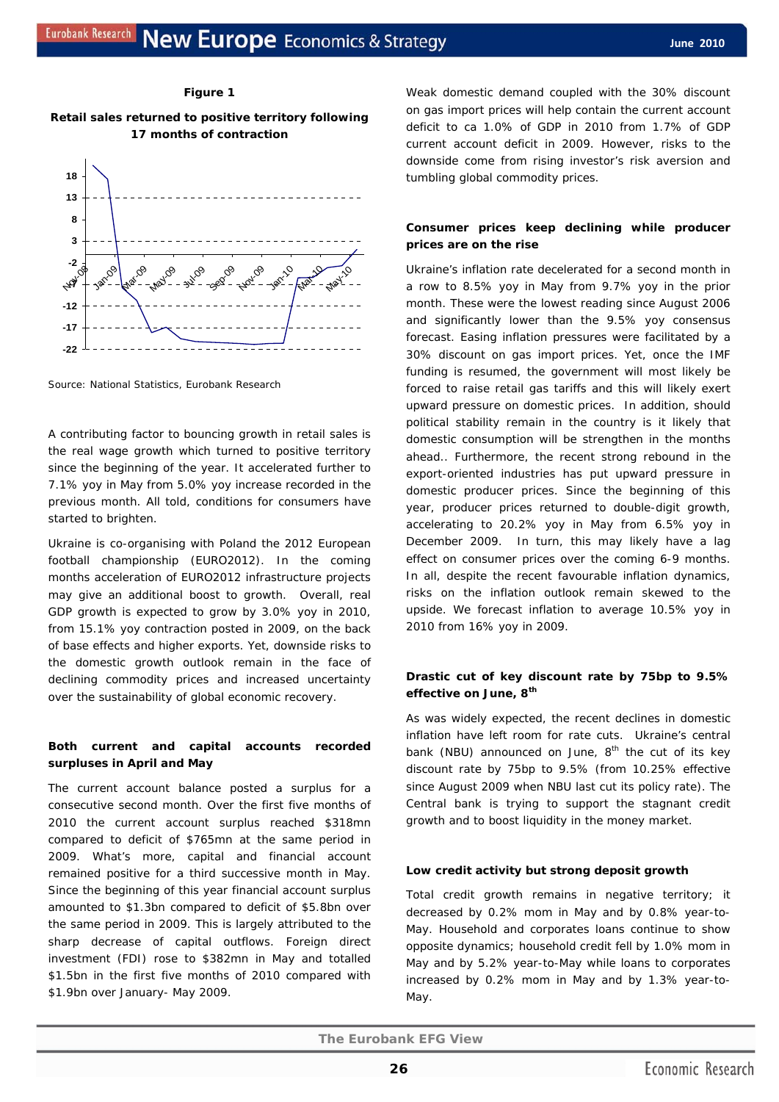#### **Figure 1**





Source: National Statistics, Eurobank Research

A contributing factor to bouncing growth in retail sales is the real wage growth which turned to positive territory since the beginning of the year. It accelerated further to 7.1% yoy in May from 5.0% yoy increase recorded in the previous month. All told, conditions for consumers have started to brighten.

Ukraine is co-organising with Poland the 2012 European football championship (EURO2012). In the coming months acceleration of EURO2012 infrastructure projects may give an additional boost to growth. Overall, real GDP growth is expected to grow by 3.0% yoy in 2010, from 15.1% yoy contraction posted in 2009, on the back of base effects and higher exports. Yet, downside risks to the domestic growth outlook remain in the face of declining commodity prices and increased uncertainty over the sustainability of global economic recovery.

## **Both current and capital accounts recorded surpluses in April and May**

The current account balance posted a surplus for a consecutive second month. Over the first five months of 2010 the current account surplus reached \$318mn compared to deficit of \$765mn at the same period in 2009. What's more, capital and financial account remained positive for a third successive month in May. Since the beginning of this year financial account surplus amounted to \$1.3bn compared to deficit of \$5.8bn over the same period in 2009. This is largely attributed to the sharp decrease of capital outflows. Foreign direct investment (FDI) rose to \$382mn in May and totalled \$1.5bn in the first five months of 2010 compared with \$1.9bn over January- May 2009.

Weak domestic demand coupled with the 30% discount on gas import prices will help contain the current account deficit to ca 1.0% of GDP in 2010 from 1.7% of GDP current account deficit in 2009. However, risks to the downside come from rising investor's risk aversion and tumbling global commodity prices.

## **Consumer prices keep declining while producer prices are on the rise**

Ukraine's inflation rate decelerated for a second month in a row to 8.5% yoy in May from 9.7% yoy in the prior month. These were the lowest reading since August 2006 and significantly lower than the 9.5% yoy consensus forecast. Easing inflation pressures were facilitated by a 30% discount on gas import prices. Yet, once the IMF funding is resumed, the government will most likely be forced to raise retail gas tariffs and this will likely exert upward pressure on domestic prices. In addition, should political stability remain in the country is it likely that domestic consumption will be strengthen in the months ahead.. Furthermore, the recent strong rebound in the export-oriented industries has put upward pressure in domestic producer prices. Since the beginning of this year, producer prices returned to double-digit growth, accelerating to 20.2% yoy in May from 6.5% yoy in December 2009. In turn, this may likely have a lag effect on consumer prices over the coming 6-9 months. In all, despite the recent favourable inflation dynamics, risks on the inflation outlook remain skewed to the upside. We forecast inflation to average 10.5% yoy in 2010 from 16% yoy in 2009.

## **Drastic cut of key discount rate by 75bp to 9.5% effective on June, 8th**

As was widely expected, the recent declines in domestic inflation have left room for rate cuts. Ukraine's central bank (NBU) announced on June,  $8<sup>th</sup>$  the cut of its key discount rate by 75bp to 9.5% (from 10.25% effective since August 2009 when NBU last cut its policy rate). The Central bank is trying to support the stagnant credit growth and to boost liquidity in the money market.

#### **Low credit activity but strong deposit growth**

Total credit growth remains in negative territory; it decreased by 0.2% mom in May and by 0.8% year-to-May. Household and corporates loans continue to show opposite dynamics; household credit fell by 1.0% mom in May and by 5.2% year-to-May while loans to corporates increased by 0.2% mom in May and by 1.3% year-to-May.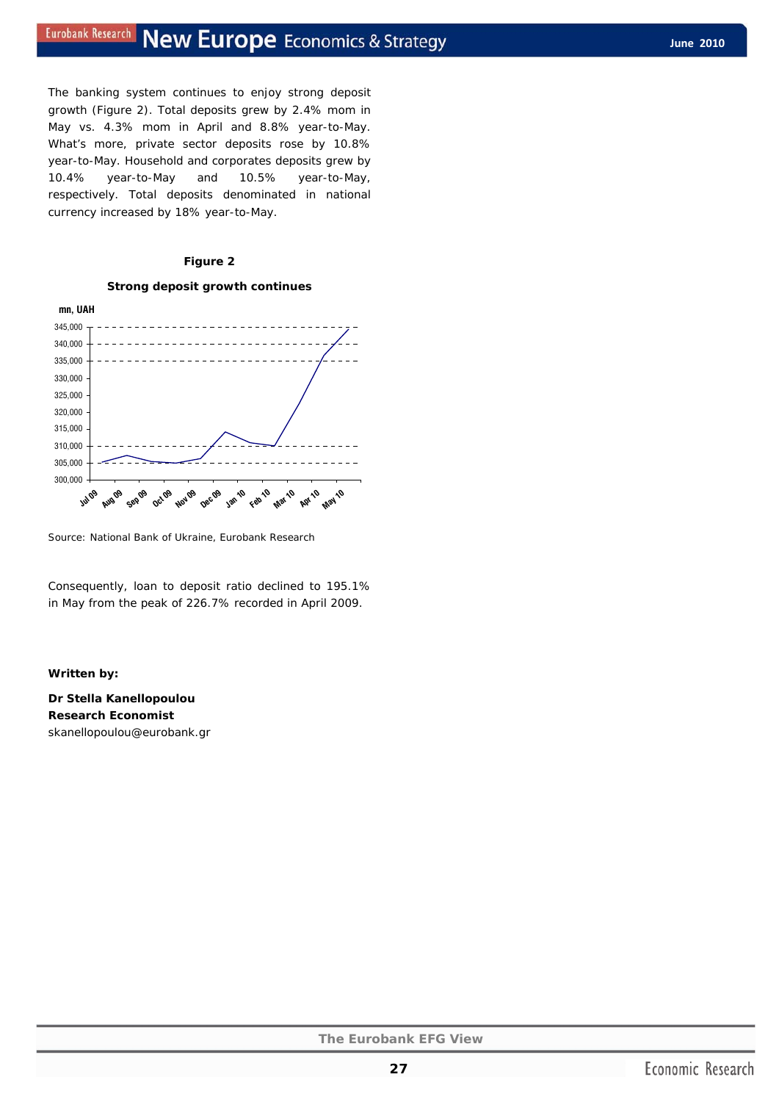The banking system continues to enjoy strong deposit growth (Figure 2). Total deposits grew by 2.4% mom in May vs. 4.3% mom in April and 8.8% year-to-May. What's more, private sector deposits rose by 10.8% year-to-May. Household and corporates deposits grew by 10.4% year-to-May and 10.5% year-to-May, respectively. Total deposits denominated in national currency increased by 18% year-to-May.

#### **Figure 2**

#### **Strong deposit growth continues**



Source: National Bank of Ukraine, Eurobank Research

Consequently, loan to deposit ratio declined to 195.1% in May from the peak of 226.7% recorded in April 2009.

#### *Written by:*

**Dr Stella Kanellopoulou Research Economist**  skanellopoulou@eurobank.gr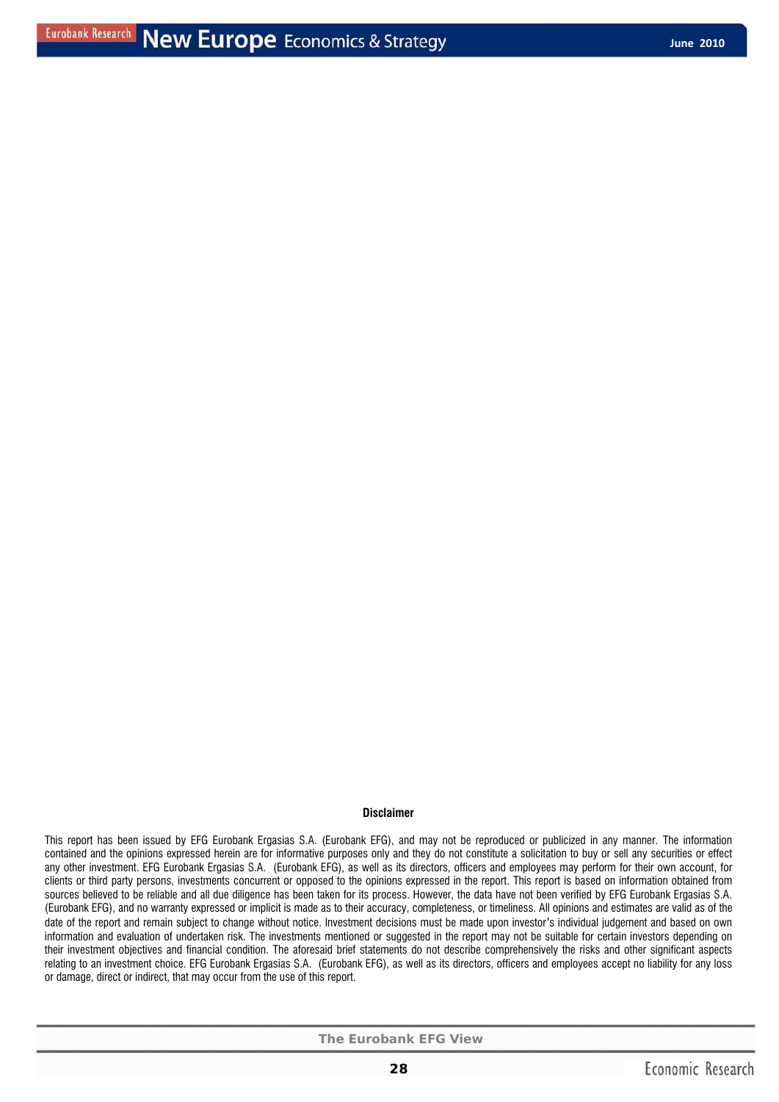#### **Disclaimer**

This report has been issued by EFG Eurobank Ergasias S.A. (Eurobank EFG), and may not be reproduced or publicized in any manner. The information contained and the opinions expressed herein are for informative purposes only and they do not constitute a solicitation to buy or sell any securities or effect any other investment. EFG Eurobank Ergasias S.A. (Eurobank EFG), as well as its directors, officers and employees may perform for their own account, for clients or third party persons, investments concurrent or opposed to the opinions expressed in the report. This report is based on information obtained from sources believed to be reliable and all due diligence has been taken for its process. However, the data have not been verified by EFG Eurobank Ergasias S.A. (Eurobank EFG), and no warranty expressed or implicit is made as to their accuracy, completeness, or timeliness. All opinions and estimates are valid as of the date of the report and remain subject to change without notice. Investment decisions must be made upon investor's individual judgement and based on own information and evaluation of undertaken risk. The investments mentioned or suggested in the report may not be suitable for certain investors depending on their investment objectives and financial condition. The aforesaid brief statements do not describe comprehensively the risks and other significant aspects relating to an investment choice. EFG Eurobank Ergasias S.A. (Eurobank EFG), as well as its directors, officers and employees accept no liability for any loss or damage, direct or indirect, that may occur from the use of this report.